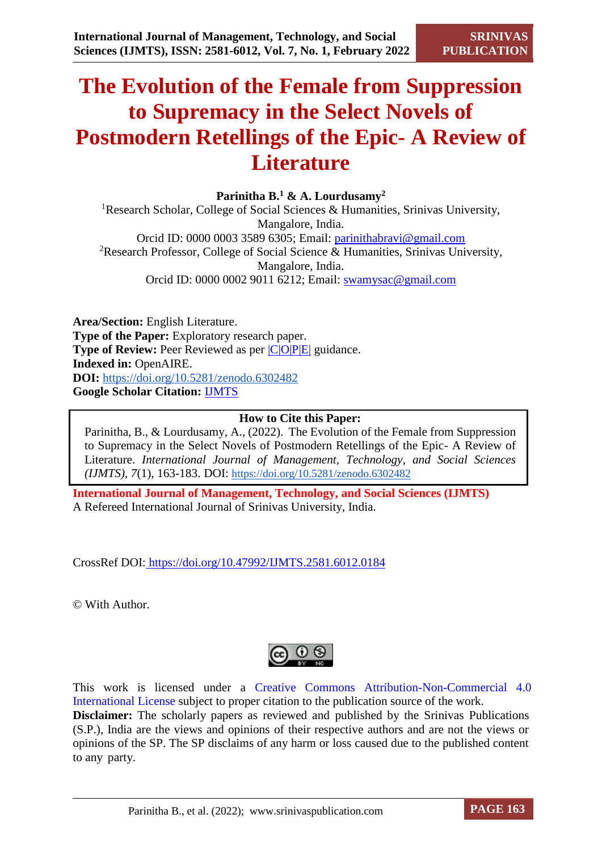# **The Evolution of the Female from Suppression to Supremacy in the Select Novels of Postmodern Retellings of the Epic- A Review of Literature**

**Parinitha B.<sup>1</sup> & A. Lourdusamy<sup>2</sup>**

<sup>1</sup>Research Scholar, College of Social Sciences & Humanities, Srinivas University, Mangalore, India. Orcid ID: 0000 0003 3589 6305; Email: [parinithabravi@gmail.com](mailto:parinithabravi@gmail.com) <sup>2</sup>Research Professor, College of Social Science & Humanities, Srinivas University, Mangalore, India. Orcid ID: 0000 0002 9011 6212; Email: [swamysac@gmail.com](mailto:swamysac@gmail.com)

**Area/Section:** English Literature. **Type of the Paper:** Exploratory research paper. **Type of Review:** Peer Reviewed as per  $|C|O||P|E|$  guidance. **Indexed in:** OpenAIRE. **DOI:** <https://doi.org/10.5281/zenodo.6302482> **Google Scholar Citation:** [IJMTS](https://scholar.google.com/citations?user=bphF0BQAAAAJ)

### **How to Cite this Paper:**

Parinitha, B., & Lourdusamy, A., (2022). The Evolution of the Female from Suppression to Supremacy in the Select Novels of Postmodern Retellings of the Epic- A Review of Literature. *International Journal of Management, Technology, and Social Sciences (IJMTS), 7*(1), 163-183. DOI: <https://doi.org/10.5281/zenodo.6302482>

**International Journal of Management, Technology, and Social Sciences (IJMTS)** A Refereed International Journal of Srinivas University, India.

CrossRef DOI: [https://doi.org/10.47992/IJMTS.2581.6012.0184](https://search.crossref.org/?q=10.47992%2FIJMTS.2581.6012.0184&from_ui=yes)

© With Author.

This work is licensed under a Creative Commons Attribution-Non-Commercial 4.0 International License subject to proper citation to the publication source of the work. **Disclaimer:** The scholarly papers as reviewed and published by the Srinivas Publications (S.P.), India are the views and opinions of their respective authors and are not the views or opinions of the SP. The SP disclaims of any harm or loss caused due to the published content to any party.

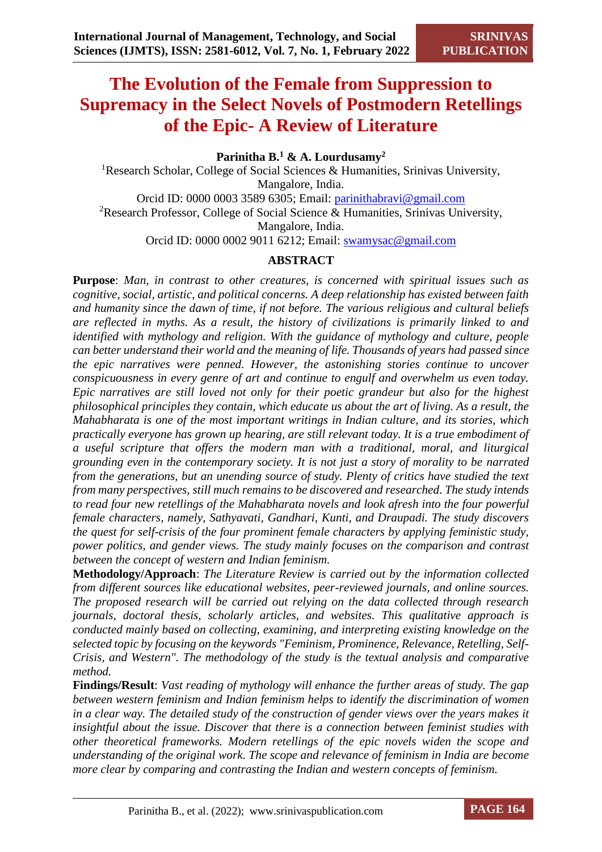# **The Evolution of the Female from Suppression to Supremacy in the Select Novels of Postmodern Retellings of the Epic- A Review of Literature**

**Parinitha B.<sup>1</sup> & A. Lourdusamy<sup>2</sup>**

<sup>1</sup>Research Scholar, College of Social Sciences & Humanities, Srinivas University, Mangalore, India. Orcid ID: 0000 0003 3589 6305; Email: [parinithabravi@gmail.com](mailto:parinithabravi@gmail.com) <sup>2</sup>Research Professor, College of Social Science & Humanities, Srinivas University, Mangalore, India. Orcid ID: 0000 0002 9011 6212; Email: [swamysac@gmail.com](mailto:swamysac@gmail.com)

# **ABSTRACT**

**Purpose**: *Man, in contrast to other creatures, is concerned with spiritual issues such as cognitive, social, artistic, and political concerns. A deep relationship has existed between faith and humanity since the dawn of time, if not before. The various religious and cultural beliefs are reflected in myths. As a result, the history of civilizations is primarily linked to and identified with mythology and religion. With the guidance of mythology and culture, people can better understand their world and the meaning of life. Thousands of years had passed since the epic narratives were penned. However, the astonishing stories continue to uncover conspicuousness in every genre of art and continue to engulf and overwhelm us even today. Epic narratives are still loved not only for their poetic grandeur but also for the highest philosophical principles they contain, which educate us about the art of living. As a result, the Mahabharata is one of the most important writings in Indian culture, and its stories, which practically everyone has grown up hearing, are still relevant today. It is a true embodiment of a useful scripture that offers the modern man with a traditional, moral, and liturgical grounding even in the contemporary society. It is not just a story of morality to be narrated from the generations, but an unending source of study. Plenty of critics have studied the text from many perspectives, still much remains to be discovered and researched. The study intends to read four new retellings of the Mahabharata novels and look afresh into the four powerful female characters, namely, Sathyavati, Gandhari, Kunti, and Draupadi. The study discovers the quest for self-crisis of the four prominent female characters by applying feministic study, power politics, and gender views. The study mainly focuses on the comparison and contrast between the concept of western and Indian feminism.*

**Methodology/Approach**: *The Literature Review is carried out by the information collected from different sources like educational websites, peer-reviewed journals, and online sources. The proposed research will be carried out relying on the data collected through research journals, doctoral thesis, scholarly articles, and websites. This qualitative approach is conducted mainly based on collecting, examining, and interpreting existing knowledge on the selected topic by focusing on the keywords "Feminism, Prominence, Relevance, Retelling, Self-Crisis, and Western". The methodology of the study is the textual analysis and comparative method.* 

**Findings/Result**: *Vast reading of mythology will enhance the further areas of study. The gap between western feminism and Indian feminism helps to identify the discrimination of women in a clear way. The detailed study of the construction of gender views over the years makes it insightful about the issue. Discover that there is a connection between feminist studies with other theoretical frameworks. Modern retellings of the epic novels widen the scope and understanding of the original work. The scope and relevance of feminism in India are become more clear by comparing and contrasting the Indian and western concepts of feminism.*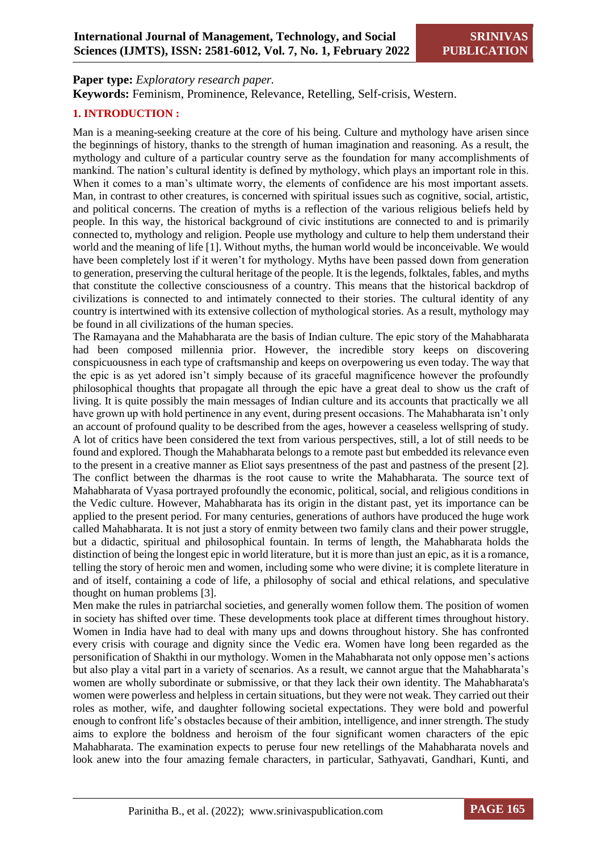**Paper type:** *Exploratory research paper.*

**Keywords:** Feminism, Prominence, Relevance, Retelling, Self-crisis, Western.

#### **1. INTRODUCTION :**

Man is a meaning-seeking creature at the core of his being. Culture and mythology have arisen since the beginnings of history, thanks to the strength of human imagination and reasoning. As a result, the mythology and culture of a particular country serve as the foundation for many accomplishments of mankind. The nation's cultural identity is defined by mythology, which plays an important role in this. When it comes to a man's ultimate worry, the elements of confidence are his most important assets. Man, in contrast to other creatures, is concerned with spiritual issues such as cognitive, social, artistic, and political concerns. The creation of myths is a reflection of the various religious beliefs held by people. In this way, the historical background of civic institutions are connected to and is primarily connected to, mythology and religion. People use mythology and culture to help them understand their world and the meaning of life [1]. Without myths, the human world would be inconceivable. We would have been completely lost if it weren't for mythology. Myths have been passed down from generation to generation, preserving the cultural heritage of the people. It is the legends, folktales, fables, and myths that constitute the collective consciousness of a country. This means that the historical backdrop of civilizations is connected to and intimately connected to their stories. The cultural identity of any country is intertwined with its extensive collection of mythological stories. As a result, mythology may be found in all civilizations of the human species.

The Ramayana and the Mahabharata are the basis of Indian culture. The epic story of the Mahabharata had been composed millennia prior. However, the incredible story keeps on discovering conspicuousness in each type of craftsmanship and keeps on overpowering us even today. The way that the epic is as yet adored isn't simply because of its graceful magnificence however the profoundly philosophical thoughts that propagate all through the epic have a great deal to show us the craft of living. It is quite possibly the main messages of Indian culture and its accounts that practically we all have grown up with hold pertinence in any event, during present occasions. The Mahabharata isn't only an account of profound quality to be described from the ages, however a ceaseless wellspring of study. A lot of critics have been considered the text from various perspectives, still, a lot of still needs to be found and explored. Though the Mahabharata belongs to a remote past but embedded its relevance even to the present in a creative manner as Eliot says presentness of the past and pastness of the present [2]. The conflict between the dharmas is the root cause to write the Mahabharata. The source text of Mahabharata of Vyasa portrayed profoundly the economic, political, social, and religious conditions in the Vedic culture. However, Mahabharata has its origin in the distant past, yet its importance can be applied to the present period. For many centuries, generations of authors have produced the huge work called Mahabharata. It is not just a story of enmity between two family clans and their power struggle, but a didactic, spiritual and philosophical fountain. In terms of length, the Mahabharata holds the distinction of being the longest epic in world literature, but it is more than just an epic, as it is a romance, telling the story of heroic men and women, including some who were divine; it is complete literature in and of itself, containing a code of life, a philosophy of social and ethical relations, and speculative thought on human problems [3].

Men make the rules in patriarchal societies, and generally women follow them. The position of women in society has shifted over time. These developments took place at different times throughout history. Women in India have had to deal with many ups and downs throughout history. She has confronted every crisis with courage and dignity since the Vedic era. Women have long been regarded as the personification of Shakthi in our mythology. Women in the Mahabharata not only oppose men's actions but also play a vital part in a variety of scenarios. As a result, we cannot argue that the Mahabharata's women are wholly subordinate or submissive, or that they lack their own identity. The Mahabharata's women were powerless and helpless in certain situations, but they were not weak. They carried out their roles as mother, wife, and daughter following societal expectations. They were bold and powerful enough to confront life's obstacles because of their ambition, intelligence, and inner strength. The study aims to explore the boldness and heroism of the four significant women characters of the epic Mahabharata. The examination expects to peruse four new retellings of the Mahabharata novels and look anew into the four amazing female characters, in particular, Sathyavati, Gandhari, Kunti, and

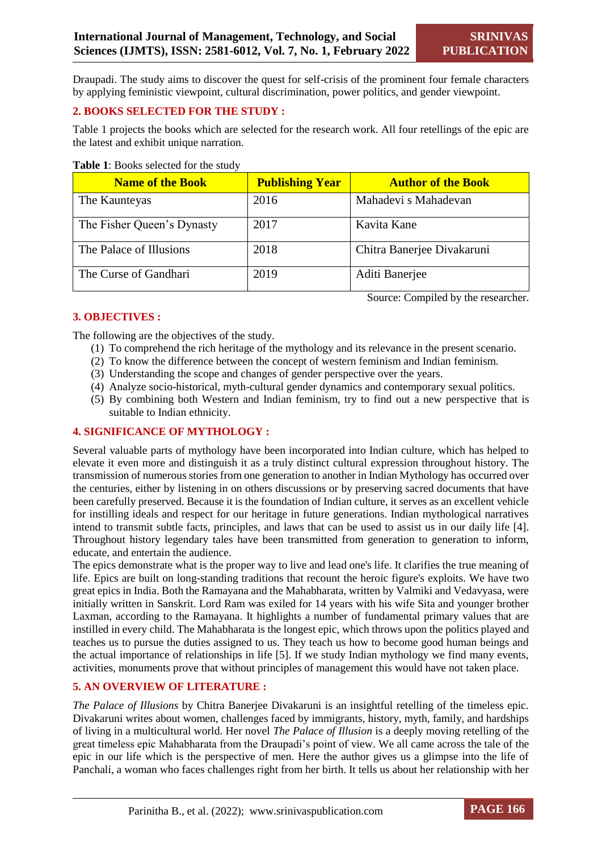Source: Compiled by the researcher.

Draupadi. The study aims to discover the quest for self-crisis of the prominent four female characters by applying feministic viewpoint, cultural discrimination, power politics, and gender viewpoint.

#### **2. BOOKS SELECTED FOR THE STUDY :**

Table 1 projects the books which are selected for the research work. All four retellings of the epic are the latest and exhibit unique narration.

#### **Table 1**: Books selected for the study

| <b>Name of the Book</b>    | <b>Publishing Year</b> | <b>Author of the Book</b>  |
|----------------------------|------------------------|----------------------------|
| The Kaunteyas              | 2016                   | Mahadevi s Mahadevan       |
| The Fisher Queen's Dynasty | 2017                   | Kavita Kane                |
| The Palace of Illusions    | 2018                   | Chitra Banerjee Divakaruni |
| The Curse of Gandhari      | 2019                   | Aditi Banerjee             |

#### **3. OBJECTIVES :**

The following are the objectives of the study.

- (1) To comprehend the rich heritage of the mythology and its relevance in the present scenario.
- (2) To know the difference between the concept of western feminism and Indian feminism.
- (3) Understanding the scope and changes of gender perspective over the years.
- (4) Analyze socio-historical, myth-cultural gender dynamics and contemporary sexual politics.
- (5) By combining both Western and Indian feminism, try to find out a new perspective that is suitable to Indian ethnicity.

#### **4. SIGNIFICANCE OF MYTHOLOGY :**

Several valuable parts of mythology have been incorporated into Indian culture, which has helped to elevate it even more and distinguish it as a truly distinct cultural expression throughout history. The transmission of numerous stories from one generation to another in Indian Mythology has occurred over the centuries, either by listening in on others discussions or by preserving sacred documents that have been carefully preserved. Because it is the foundation of Indian culture, it serves as an excellent vehicle for instilling ideals and respect for our heritage in future generations. Indian mythological narratives intend to transmit subtle facts, principles, and laws that can be used to assist us in our daily life [4]. Throughout history legendary tales have been transmitted from generation to generation to inform, educate, and entertain the audience.

The epics demonstrate what is the proper way to live and lead one's life. It clarifies the true meaning of life. Epics are built on long-standing traditions that recount the heroic figure's exploits. We have two great epics in India. Both the Ramayana and the Mahabharata, written by Valmiki and Vedavyasa, were initially written in Sanskrit. Lord Ram was exiled for 14 years with his wife Sita and younger brother Laxman, according to the Ramayana. It highlights a number of fundamental primary values that are instilled in every child. The Mahabharata is the longest epic, which throws upon the politics played and teaches us to pursue the duties assigned to us. They teach us how to become good human beings and the actual importance of relationships in life [5]. If we study Indian mythology we find many events, activities, monuments prove that without principles of management this would have not taken place.

#### **5. AN OVERVIEW OF LITERATURE :**

*The Palace of Illusions* by Chitra Banerjee Divakaruni is an insightful retelling of the timeless epic. Divakaruni writes about women, challenges faced by immigrants, history, myth, family, and hardships of living in a multicultural world. Her novel *The Palace of Illusion* is a deeply moving retelling of the great timeless epic Mahabharata from the Draupadi's point of view. We all came across the tale of the epic in our life which is the perspective of men. Here the author gives us a glimpse into the life of Panchali, a woman who faces challenges right from her birth. It tells us about her relationship with her

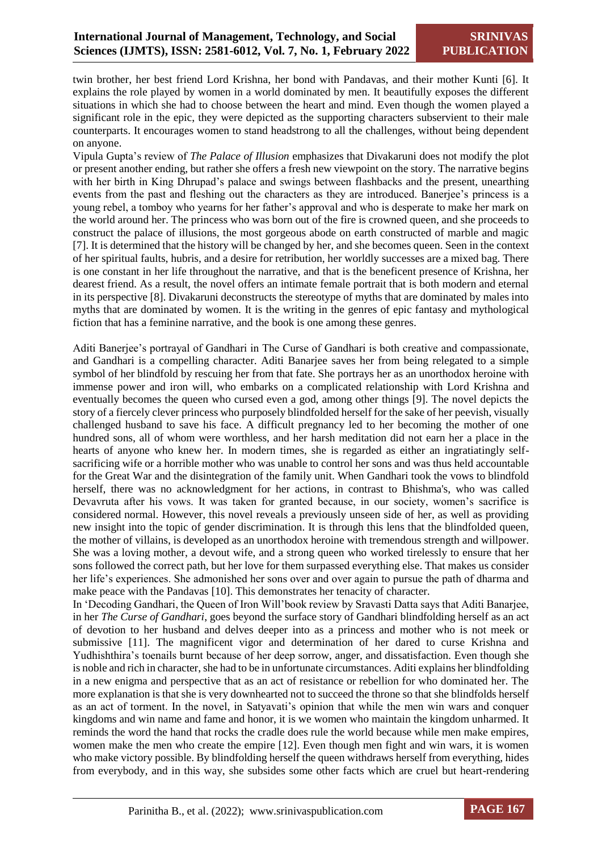twin brother, her best friend Lord Krishna, her bond with Pandavas, and their mother Kunti [6]. It explains the role played by women in a world dominated by men. It beautifully exposes the different situations in which she had to choose between the heart and mind. Even though the women played a significant role in the epic, they were depicted as the supporting characters subservient to their male counterparts. It encourages women to stand headstrong to all the challenges, without being dependent on anyone.

Vipula Gupta's review of *The Palace of Illusion* emphasizes that Divakaruni does not modify the plot or present another ending, but rather she offers a fresh new viewpoint on the story. The narrative begins with her birth in King Dhrupad's palace and swings between flashbacks and the present, unearthing events from the past and fleshing out the characters as they are introduced. Banerjee's princess is a young rebel, a tomboy who yearns for her father's approval and who is desperate to make her mark on the world around her. The princess who was born out of the fire is crowned queen, and she proceeds to construct the palace of illusions, the most gorgeous abode on earth constructed of marble and magic [7]. It is determined that the history will be changed by her, and she becomes queen. Seen in the context of her spiritual faults, hubris, and a desire for retribution, her worldly successes are a mixed bag. There is one constant in her life throughout the narrative, and that is the beneficent presence of Krishna, her dearest friend. As a result, the novel offers an intimate female portrait that is both modern and eternal in its perspective [8]. Divakaruni deconstructs the stereotype of myths that are dominated by males into myths that are dominated by women. It is the writing in the genres of epic fantasy and mythological fiction that has a feminine narrative, and the book is one among these genres.

Aditi Banerjee's portrayal of Gandhari in The Curse of Gandhari is both creative and compassionate, and Gandhari is a compelling character. Aditi Banarjee saves her from being relegated to a simple symbol of her blindfold by rescuing her from that fate. She portrays her as an unorthodox heroine with immense power and iron will, who embarks on a complicated relationship with Lord Krishna and eventually becomes the queen who cursed even a god, among other things [9]. The novel depicts the story of a fiercely clever princess who purposely blindfolded herself for the sake of her peevish, visually challenged husband to save his face. A difficult pregnancy led to her becoming the mother of one hundred sons, all of whom were worthless, and her harsh meditation did not earn her a place in the hearts of anyone who knew her. In modern times, she is regarded as either an ingratiatingly selfsacrificing wife or a horrible mother who was unable to control her sons and was thus held accountable for the Great War and the disintegration of the family unit. When Gandhari took the vows to blindfold herself, there was no acknowledgment for her actions, in contrast to Bhishma's, who was called Devavruta after his vows. It was taken for granted because, in our society, women's sacrifice is considered normal. However, this novel reveals a previously unseen side of her, as well as providing new insight into the topic of gender discrimination. It is through this lens that the blindfolded queen, the mother of villains, is developed as an unorthodox heroine with tremendous strength and willpower. She was a loving mother, a devout wife, and a strong queen who worked tirelessly to ensure that her sons followed the correct path, but her love for them surpassed everything else. That makes us consider her life's experiences. She admonished her sons over and over again to pursue the path of dharma and make peace with the Pandavas [10]. This demonstrates her tenacity of character.

In 'Decoding Gandhari, the Queen of Iron Will'book review by Sravasti Datta says that Aditi Banarjee, in her *The Curse of Gandhari*, goes beyond the surface story of Gandhari blindfolding herself as an act of devotion to her husband and delves deeper into as a princess and mother who is not meek or submissive [11]. The magnificent vigor and determination of her dared to curse Krishna and Yudhishthira's toenails burnt because of her deep sorrow, anger, and dissatisfaction. Even though she is noble and rich in character, she had to be in unfortunate circumstances. Aditi explains her blindfolding in a new enigma and perspective that as an act of resistance or rebellion for who dominated her. The more explanation is that she is very downhearted not to succeed the throne so that she blindfolds herself as an act of torment. In the novel, in Satyavati's opinion that while the men win wars and conquer kingdoms and win name and fame and honor, it is we women who maintain the kingdom unharmed. It reminds the word the hand that rocks the cradle does rule the world because while men make empires, women make the men who create the empire [12]. Even though men fight and win wars, it is women who make victory possible. By blindfolding herself the queen withdraws herself from everything, hides from everybody, and in this way, she subsides some other facts which are cruel but heart-rendering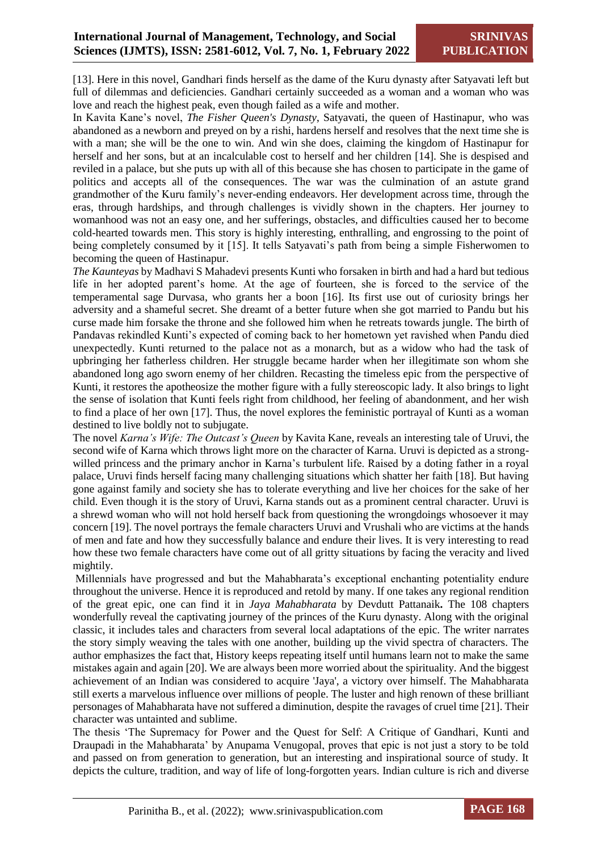[13]. Here in this novel, Gandhari finds herself as the dame of the Kuru dynasty after Satyavati left but full of dilemmas and deficiencies. Gandhari certainly succeeded as a woman and a woman who was love and reach the highest peak, even though failed as a wife and mother.

In Kavita Kane's novel, *The Fisher Queen's Dynasty*, Satyavati, the queen of Hastinapur, who was abandoned as a newborn and preyed on by a rishi, hardens herself and resolves that the next time she is with a man; she will be the one to win. And win she does, claiming the kingdom of Hastinapur for herself and her sons, but at an incalculable cost to herself and her children [14]. She is despised and reviled in a palace, but she puts up with all of this because she has chosen to participate in the game of politics and accepts all of the consequences. The war was the culmination of an astute grand grandmother of the Kuru family's never-ending endeavors. Her development across time, through the eras, through hardships, and through challenges is vividly shown in the chapters. Her journey to womanhood was not an easy one, and her sufferings, obstacles, and difficulties caused her to become cold-hearted towards men. This story is highly interesting, enthralling, and engrossing to the point of being completely consumed by it [15]. It tells Satyavati's path from being a simple Fisherwomen to becoming the queen of Hastinapur.

*The Kaunteyas* by Madhavi S Mahadevi presents Kunti who forsaken in birth and had a hard but tedious life in her adopted parent's home. At the age of fourteen, she is forced to the service of the temperamental sage Durvasa, who grants her a boon [16]. Its first use out of curiosity brings her adversity and a shameful secret. She dreamt of a better future when she got married to Pandu but his curse made him forsake the throne and she followed him when he retreats towards jungle. The birth of Pandavas rekindled Kunti's expected of coming back to her hometown yet ravished when Pandu died unexpectedly. Kunti returned to the palace not as a monarch, but as a widow who had the task of upbringing her fatherless children. Her struggle became harder when her illegitimate son whom she abandoned long ago sworn enemy of her children. Recasting the timeless epic from the perspective of Kunti, it restores the apotheosize the mother figure with a fully stereoscopic lady. It also brings to light the sense of isolation that Kunti feels right from childhood, her feeling of abandonment, and her wish to find a place of her own [17]. Thus, the novel explores the feministic portrayal of Kunti as a woman destined to live boldly not to subjugate.

The novel *Karna's Wife: The Outcast's Queen* by Kavita Kane, reveals an interesting tale of Uruvi, the second wife of Karna which throws light more on the character of Karna. Uruvi is depicted as a strongwilled princess and the primary anchor in Karna's turbulent life. Raised by a doting father in a royal palace, Uruvi finds herself facing many challenging situations which shatter her faith [18]. But having gone against family and society she has to tolerate everything and live her choices for the sake of her child. Even though it is the story of Uruvi, Karna stands out as a prominent central character. Uruvi is a shrewd woman who will not hold herself back from questioning the wrongdoings whosoever it may concern [19]. The novel portrays the female characters Uruvi and Vrushali who are victims at the hands of men and fate and how they successfully balance and endure their lives. It is very interesting to read how these two female characters have come out of all gritty situations by facing the veracity and lived mightily.

Millennials have progressed and but the Mahabharata's exceptional enchanting potentiality endure throughout the universe. Hence it is reproduced and retold by many. If one takes any regional rendition of the great epic, one can find it in *Jaya Mahabharata* by Devdutt Pattanaik**.** The 108 chapters wonderfully reveal the captivating journey of the princes of the Kuru dynasty. Along with the original classic, it includes tales and characters from several local adaptations of the epic. The writer narrates the story simply weaving the tales with one another, building up the vivid spectra of characters. The author emphasizes the fact that, History keeps repeating itself until humans learn not to make the same mistakes again and again [20]. We are always been more worried about the spirituality. And the biggest achievement of an Indian was considered to acquire 'Jaya', a victory over himself. The Mahabharata still exerts a marvelous influence over millions of people. The luster and high renown of these brilliant personages of Mahabharata have not suffered a diminution, despite the ravages of cruel time [21]. Their character was untainted and sublime.

The thesis 'The Supremacy for Power and the Quest for Self: A Critique of Gandhari, Kunti and Draupadi in the Mahabharata' by Anupama Venugopal, proves that epic is not just a story to be told and passed on from generation to generation, but an interesting and inspirational source of study. It depicts the culture, tradition, and way of life of long-forgotten years. Indian culture is rich and diverse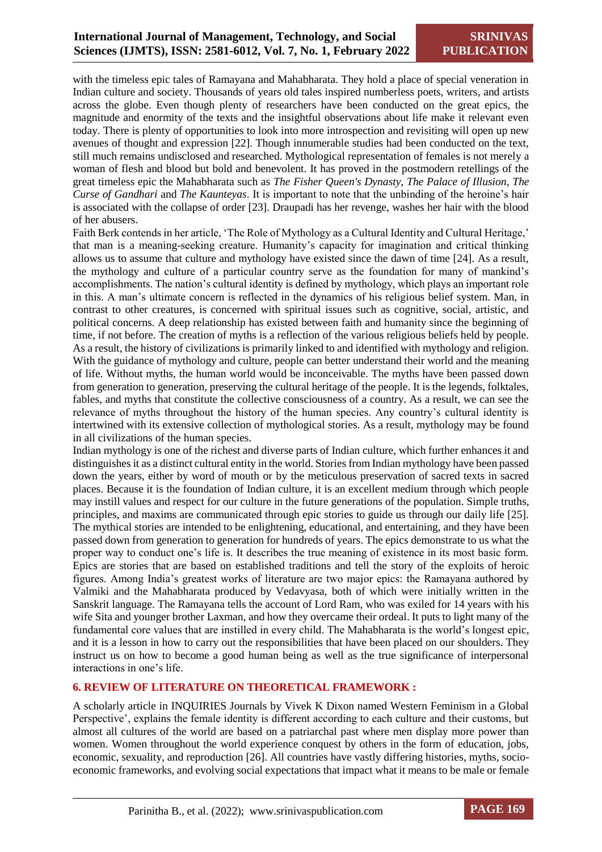with the timeless epic tales of Ramayana and Mahabharata. They hold a place of special veneration in Indian culture and society. Thousands of years old tales inspired numberless poets, writers, and artists across the globe. Even though plenty of researchers have been conducted on the great epics, the magnitude and enormity of the texts and the insightful observations about life make it relevant even today. There is plenty of opportunities to look into more introspection and revisiting will open up new avenues of thought and expression [22]. Though innumerable studies had been conducted on the text, still much remains undisclosed and researched. Mythological representation of females is not merely a woman of flesh and blood but bold and benevolent. It has proved in the postmodern retellings of the great timeless epic the Mahabharata such as *The Fisher Queen's Dynasty*, *The Palace of Illusion*, *The Curse of Gandhari* and *The Kaunteyas*. It is important to note that the unbinding of the heroine's hair is associated with the collapse of order [23]. Draupadi has her revenge, washes her hair with the blood of her abusers.

Faith Berk contends in her article, 'The Role of Mythology as a Cultural Identity and Cultural Heritage,' that man is a meaning-seeking creature. Humanity's capacity for imagination and critical thinking allows us to assume that culture and mythology have existed since the dawn of time [24]. As a result, the mythology and culture of a particular country serve as the foundation for many of mankind's accomplishments. The nation's cultural identity is defined by mythology, which plays an important role in this. A man's ultimate concern is reflected in the dynamics of his religious belief system. Man, in contrast to other creatures, is concerned with spiritual issues such as cognitive, social, artistic, and political concerns. A deep relationship has existed between faith and humanity since the beginning of time, if not before. The creation of myths is a reflection of the various religious beliefs held by people. As a result, the history of civilizations is primarily linked to and identified with mythology and religion. With the guidance of mythology and culture, people can better understand their world and the meaning of life. Without myths, the human world would be inconceivable. The myths have been passed down from generation to generation, preserving the cultural heritage of the people. It is the legends, folktales, fables, and myths that constitute the collective consciousness of a country. As a result, we can see the relevance of myths throughout the history of the human species. Any country's cultural identity is intertwined with its extensive collection of mythological stories. As a result, mythology may be found in all civilizations of the human species.

Indian mythology is one of the richest and diverse parts of Indian culture, which further enhances it and distinguishes it as a distinct cultural entity in the world. Stories from Indian mythology have been passed down the years, either by word of mouth or by the meticulous preservation of sacred texts in sacred places. Because it is the foundation of Indian culture, it is an excellent medium through which people may instill values and respect for our culture in the future generations of the population. Simple truths, principles, and maxims are communicated through epic stories to guide us through our daily life [25]. The mythical stories are intended to be enlightening, educational, and entertaining, and they have been passed down from generation to generation for hundreds of years. The epics demonstrate to us what the proper way to conduct one's life is. It describes the true meaning of existence in its most basic form. Epics are stories that are based on established traditions and tell the story of the exploits of heroic figures. Among India's greatest works of literature are two major epics: the Ramayana authored by Valmiki and the Mahabharata produced by Vedavyasa, both of which were initially written in the Sanskrit language. The Ramayana tells the account of Lord Ram, who was exiled for 14 years with his wife Sita and younger brother Laxman, and how they overcame their ordeal. It puts to light many of the fundamental core values that are instilled in every child. The Mahabharata is the world's longest epic, and it is a lesson in how to carry out the responsibilities that have been placed on our shoulders. They instruct us on how to become a good human being as well as the true significance of interpersonal interactions in one's life.

#### **6. REVIEW OF LITERATURE ON THEORETICAL FRAMEWORK :**

A scholarly article in INQUIRIES Journals by Vivek K Dixon named Western Feminism in a Global Perspective', explains the female identity is different according to each culture and their customs, but almost all cultures of the world are based on a patriarchal past where men display more power than women. Women throughout the world experience conquest by others in the form of education, jobs, economic, sexuality, and reproduction [26]. All countries have vastly differing histories, myths, socioeconomic frameworks, and evolving social expectations that impact what it means to be male or female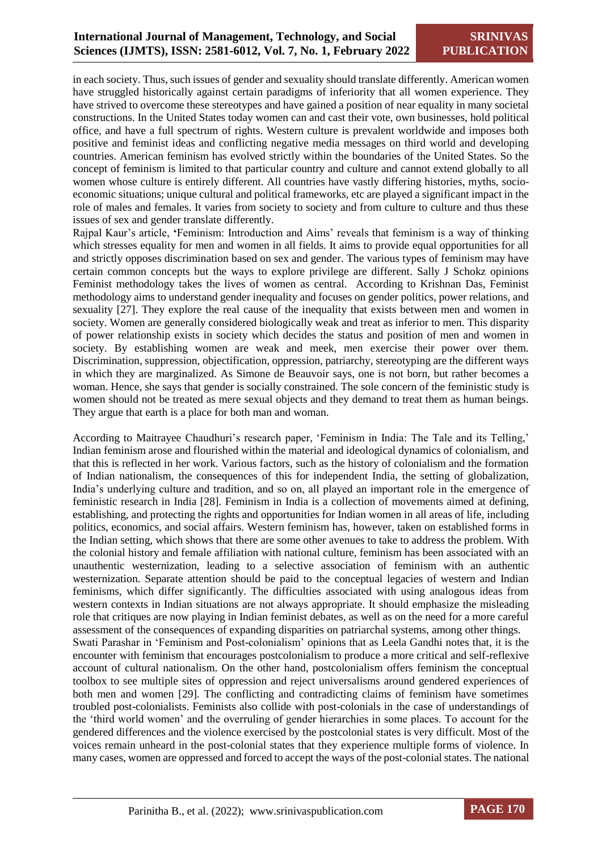in each society. Thus, such issues of gender and sexuality should translate differently. American women have struggled historically against certain paradigms of inferiority that all women experience. They have strived to overcome these stereotypes and have gained a position of near equality in many societal constructions. In the United States today women can and cast their vote, own businesses, hold political office, and have a full spectrum of rights. Western culture is prevalent worldwide and imposes both positive and feminist ideas and conflicting negative media messages on third world and developing countries. American feminism has evolved strictly within the boundaries of the United States. So the concept of feminism is limited to that particular country and culture and cannot extend globally to all women whose culture is entirely different. All countries have vastly differing histories, myths, socioeconomic situations; unique cultural and political frameworks, etc are played a significant impact in the role of males and females. It varies from society to society and from culture to culture and thus these issues of sex and gender translate differently.

Rajpal Kaur's article, **'**Feminism: Introduction and Aims' reveals that feminism is a way of thinking which stresses equality for men and women in all fields. It aims to provide equal opportunities for all and strictly opposes discrimination based on sex and gender. The various types of feminism may have certain common concepts but the ways to explore privilege are different. Sally J Schokz opinions Feminist methodology takes the lives of women as central. According to Krishnan Das, Feminist methodology aims to understand gender inequality and focuses on gender politics, power relations, and sexuality [27]. They explore the real cause of the inequality that exists between men and women in society. Women are generally considered biologically weak and treat as inferior to men. This disparity of power relationship exists in society which decides the status and position of men and women in society. By establishing women are weak and meek, men exercise their power over them. Discrimination, suppression, objectification, oppression, patriarchy, stereotyping are the different ways in which they are marginalized. As Simone de Beauvoir says, one is not born, but rather becomes a woman. Hence, she says that gender is socially constrained. The sole concern of the feministic study is women should not be treated as mere sexual objects and they demand to treat them as human beings. They argue that earth is a place for both man and woman.

According to Maitrayee Chaudhuri's research paper, 'Feminism in India: The Tale and its Telling,' Indian feminism arose and flourished within the material and ideological dynamics of colonialism, and that this is reflected in her work. Various factors, such as the history of colonialism and the formation of Indian nationalism, the consequences of this for independent India, the setting of globalization, India's underlying culture and tradition, and so on, all played an important role in the emergence of feministic research in India [28]. Feminism in India is a collection of movements aimed at defining, establishing, and protecting the rights and opportunities for Indian women in all areas of life, including politics, economics, and social affairs. Western feminism has, however, taken on established forms in the Indian setting, which shows that there are some other avenues to take to address the problem. With the colonial history and female affiliation with national culture, feminism has been associated with an unauthentic westernization, leading to a selective association of feminism with an authentic westernization. Separate attention should be paid to the conceptual legacies of western and Indian feminisms, which differ significantly. The difficulties associated with using analogous ideas from western contexts in Indian situations are not always appropriate. It should emphasize the misleading role that critiques are now playing in Indian feminist debates, as well as on the need for a more careful assessment of the consequences of expanding disparities on patriarchal systems, among other things. Swati Parashar in 'Feminism and Post-colonialism' opinions that as Leela Gandhi notes that, it is the encounter with feminism that encourages postcolonialism to produce a more critical and self-reflexive account of cultural nationalism. On the other hand, postcolonialism offers feminism the conceptual toolbox to see multiple sites of oppression and reject universalisms around gendered experiences of both men and women [29]. The conflicting and contradicting claims of feminism have sometimes troubled post-colonialists. Feminists also collide with post-colonials in the case of understandings of the 'third world women' and the overruling of gender hierarchies in some places. To account for the gendered differences and the violence exercised by the postcolonial states is very difficult. Most of the voices remain unheard in the post-colonial states that they experience multiple forms of violence. In many cases, women are oppressed and forced to accept the ways of the post-colonial states. The national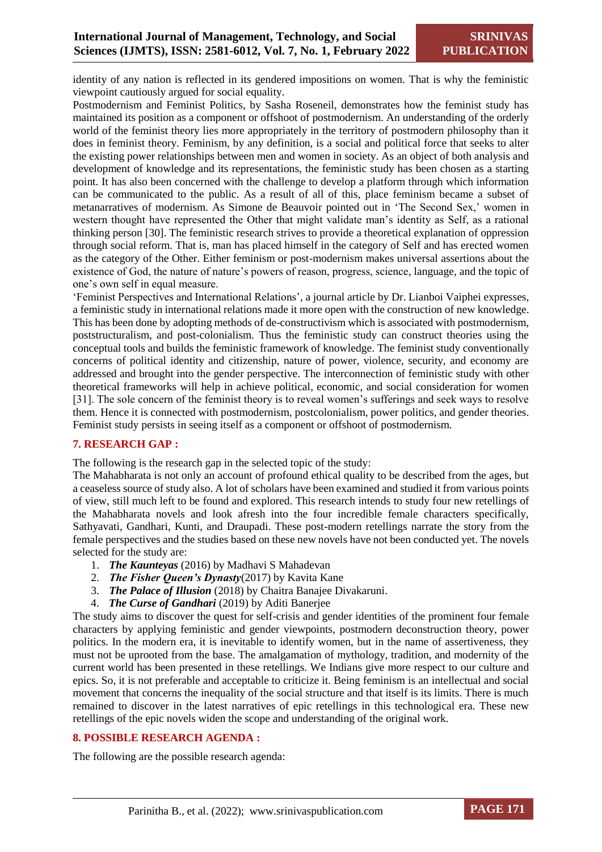identity of any nation is reflected in its gendered impositions on women. That is why the feministic viewpoint cautiously argued for social equality.

Postmodernism and Feminist Politics, by Sasha Roseneil, demonstrates how the feminist study has maintained its position as a component or offshoot of postmodernism. An understanding of the orderly world of the feminist theory lies more appropriately in the territory of postmodern philosophy than it does in feminist theory. Feminism, by any definition, is a social and political force that seeks to alter the existing power relationships between men and women in society. As an object of both analysis and development of knowledge and its representations, the feministic study has been chosen as a starting point. It has also been concerned with the challenge to develop a platform through which information can be communicated to the public. As a result of all of this, place feminism became a subset of metanarratives of modernism. As Simone de Beauvoir pointed out in 'The Second Sex,' women in western thought have represented the Other that might validate man's identity as Self, as a rational thinking person [30]. The feministic research strives to provide a theoretical explanation of oppression through social reform. That is, man has placed himself in the category of Self and has erected women as the category of the Other. Either feminism or post-modernism makes universal assertions about the existence of God, the nature of nature's powers of reason, progress, science, language, and the topic of one's own self in equal measure.

'Feminist Perspectives and International Relations'*,* a journal article by Dr. Lianboi Vaiphei expresses, a feministic study in international relations made it more open with the construction of new knowledge. This has been done by adopting methods of de-constructivism which is associated with postmodernism, poststructuralism, and post-colonialism. Thus the feministic study can construct theories using the conceptual tools and builds the feministic framework of knowledge. The feminist study conventionally concerns of political identity and citizenship, nature of power, violence, security, and economy are addressed and brought into the gender perspective. The interconnection of feministic study with other theoretical frameworks will help in achieve political, economic, and social consideration for women [31]. The sole concern of the feminist theory is to reveal women's sufferings and seek ways to resolve them. Hence it is connected with postmodernism, postcolonialism, power politics, and gender theories. Feminist study persists in seeing itself as a component or offshoot of postmodernism.

#### **7. RESEARCH GAP :**

The following is the research gap in the selected topic of the study:

The Mahabharata is not only an account of profound ethical quality to be described from the ages, but a ceaseless source of study also. A lot of scholars have been examined and studied it from various points of view, still much left to be found and explored. This research intends to study four new retellings of the Mahabharata novels and look afresh into the four incredible female characters specifically, Sathyavati, Gandhari, Kunti, and Draupadi. These post-modern retellings narrate the story from the female perspectives and the studies based on these new novels have not been conducted yet. The novels selected for the study are:

- 1. *The Kaunteyas* (2016) by Madhavi S Mahadevan
- 2. *The Fisher Queen's Dynasty*(2017) by Kavita Kane
- 3. *The Palace of Illusion* (2018) by Chaitra Banajee Divakaruni.
- 4. *The Curse of Gandhari* (2019) by Aditi Banerjee

The study aims to discover the quest for self-crisis and gender identities of the prominent four female characters by applying feministic and gender viewpoints, postmodern deconstruction theory, power politics. In the modern era, it is inevitable to identify women, but in the name of assertiveness, they must not be uprooted from the base. The amalgamation of mythology, tradition, and modernity of the current world has been presented in these retellings. We Indians give more respect to our culture and epics. So, it is not preferable and acceptable to criticize it. Being feminism is an intellectual and social movement that concerns the inequality of the social structure and that itself is its limits. There is much remained to discover in the latest narratives of epic retellings in this technological era. These new retellings of the epic novels widen the scope and understanding of the original work.

#### **8. POSSIBLE RESEARCH AGENDA :**

The following are the possible research agenda:

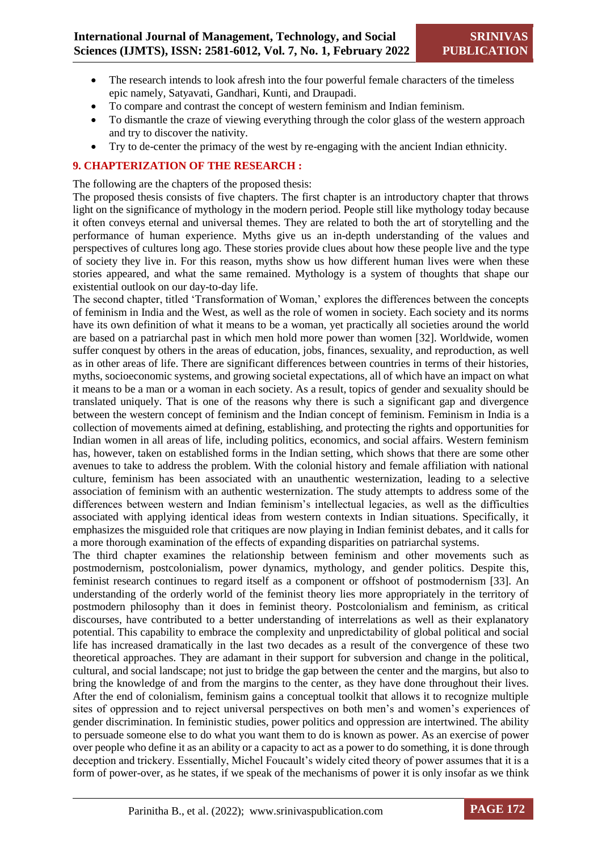- The research intends to look afresh into the four powerful female characters of the timeless epic namely, Satyavati, Gandhari, Kunti, and Draupadi.
- To compare and contrast the concept of western feminism and Indian feminism.
- To dismantle the craze of viewing everything through the color glass of the western approach and try to discover the nativity.
- Try to de-center the primacy of the west by re-engaging with the ancient Indian ethnicity.

#### **9. CHAPTERIZATION OF THE RESEARCH :**

The following are the chapters of the proposed thesis:

The proposed thesis consists of five chapters. The first chapter is an introductory chapter that throws light on the significance of mythology in the modern period. People still like mythology today because it often conveys eternal and universal themes. They are related to both the art of storytelling and the performance of human experience. Myths give us an in-depth understanding of the values and perspectives of cultures long ago. These stories provide clues about how these people live and the type of society they live in. For this reason, myths show us how different human lives were when these stories appeared, and what the same remained. Mythology is a system of thoughts that shape our existential outlook on our day-to-day life.

The second chapter, titled 'Transformation of Woman,' explores the differences between the concepts of feminism in India and the West, as well as the role of women in society. Each society and its norms have its own definition of what it means to be a woman, yet practically all societies around the world are based on a patriarchal past in which men hold more power than women [32]. Worldwide, women suffer conquest by others in the areas of education, jobs, finances, sexuality, and reproduction, as well as in other areas of life. There are significant differences between countries in terms of their histories, myths, socioeconomic systems, and growing societal expectations, all of which have an impact on what it means to be a man or a woman in each society. As a result, topics of gender and sexuality should be translated uniquely. That is one of the reasons why there is such a significant gap and divergence between the western concept of feminism and the Indian concept of feminism. Feminism in India is a collection of movements aimed at defining, establishing, and protecting the rights and opportunities for Indian women in all areas of life, including politics, economics, and social affairs. Western feminism has, however, taken on established forms in the Indian setting, which shows that there are some other avenues to take to address the problem. With the colonial history and female affiliation with national culture, feminism has been associated with an unauthentic westernization, leading to a selective association of feminism with an authentic westernization. The study attempts to address some of the differences between western and Indian feminism's intellectual legacies, as well as the difficulties associated with applying identical ideas from western contexts in Indian situations. Specifically, it emphasizes the misguided role that critiques are now playing in Indian feminist debates, and it calls for a more thorough examination of the effects of expanding disparities on patriarchal systems.

The third chapter examines the relationship between feminism and other movements such as postmodernism, postcolonialism, power dynamics, mythology, and gender politics. Despite this, feminist research continues to regard itself as a component or offshoot of postmodernism [33]. An understanding of the orderly world of the feminist theory lies more appropriately in the territory of postmodern philosophy than it does in feminist theory. Postcolonialism and feminism, as critical discourses, have contributed to a better understanding of interrelations as well as their explanatory potential. This capability to embrace the complexity and unpredictability of global political and social life has increased dramatically in the last two decades as a result of the convergence of these two theoretical approaches. They are adamant in their support for subversion and change in the political, cultural, and social landscape; not just to bridge the gap between the center and the margins, but also to bring the knowledge of and from the margins to the center, as they have done throughout their lives. After the end of colonialism, feminism gains a conceptual toolkit that allows it to recognize multiple sites of oppression and to reject universal perspectives on both men's and women's experiences of gender discrimination. In feministic studies, power politics and oppression are intertwined. The ability to persuade someone else to do what you want them to do is known as power. As an exercise of power over people who define it as an ability or a capacity to act as a power to do something, it is done through deception and trickery. Essentially, Michel Foucault's widely cited theory of power assumes that it is a form of power-over, as he states, if we speak of the mechanisms of power it is only insofar as we think

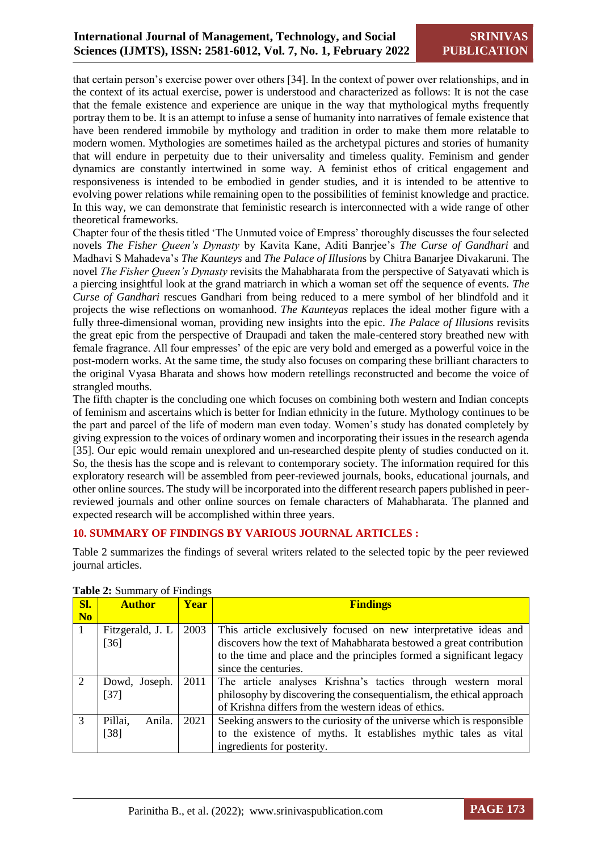that certain person's exercise power over others [34]. In the context of power over relationships, and in the context of its actual exercise, power is understood and characterized as follows: It is not the case that the female existence and experience are unique in the way that mythological myths frequently portray them to be. It is an attempt to infuse a sense of humanity into narratives of female existence that have been rendered immobile by mythology and tradition in order to make them more relatable to modern women. Mythologies are sometimes hailed as the archetypal pictures and stories of humanity that will endure in perpetuity due to their universality and timeless quality. Feminism and gender dynamics are constantly intertwined in some way. A feminist ethos of critical engagement and responsiveness is intended to be embodied in gender studies, and it is intended to be attentive to evolving power relations while remaining open to the possibilities of feminist knowledge and practice. In this way, we can demonstrate that feministic research is interconnected with a wide range of other theoretical frameworks.

Chapter four of the thesis titled 'The Unmuted voice of Empress' thoroughly discusses the four selected novels *The Fisher Queen's Dynasty* by Kavita Kane, Aditi Banrjee's *The Curse of Gandhari* and Madhavi S Mahadeva's *The Kaunteys* and *The Palace of Illusion*s by Chitra Banarjee Divakaruni. The novel *The Fisher Queen's Dynasty* revisits the Mahabharata from the perspective of Satyavati which is a piercing insightful look at the grand matriarch in which a woman set off the sequence of events. *The Curse of Gandhari* rescues Gandhari from being reduced to a mere symbol of her blindfold and it projects the wise reflections on womanhood. *The Kaunteyas* replaces the ideal mother figure with a fully three-dimensional woman, providing new insights into the epic. *The Palace of Illusions* revisits the great epic from the perspective of Draupadi and taken the male-centered story breathed new with female fragrance. All four empresses' of the epic are very bold and emerged as a powerful voice in the post-modern works. At the same time, the study also focuses on comparing these brilliant characters to the original Vyasa Bharata and shows how modern retellings reconstructed and become the voice of strangled mouths.

The fifth chapter is the concluding one which focuses on combining both western and Indian concepts of feminism and ascertains which is better for Indian ethnicity in the future. Mythology continues to be the part and parcel of the life of modern man even today. Women's study has donated completely by giving expression to the voices of ordinary women and incorporating their issues in the research agenda [35]. Our epic would remain unexplored and un-researched despite plenty of studies conducted on it. So, the thesis has the scope and is relevant to contemporary society. The information required for this exploratory research will be assembled from peer-reviewed journals, books, educational journals, and other online sources. The study will be incorporated into the different research papers published in peerreviewed journals and other online sources on female characters of Mahabharata. The planned and expected research will be accomplished within three years.

#### **10. SUMMARY OF FINDINGS BY VARIOUS JOURNAL ARTICLES :**

Table 2 summarizes the findings of several writers related to the selected topic by the peer reviewed journal articles.

| SI.            | <b>Author</b>     | <b>Year</b> | <b>Findings</b>                                                       |  |  |  |  |  |
|----------------|-------------------|-------------|-----------------------------------------------------------------------|--|--|--|--|--|
| N <sub>0</sub> |                   |             |                                                                       |  |  |  |  |  |
|                | Fitzgerald, J. L. | 2003        | This article exclusively focused on new interpretative ideas and      |  |  |  |  |  |
|                | $[36]$            |             | discovers how the text of Mahabharata bestowed a great contribution   |  |  |  |  |  |
|                |                   |             | to the time and place and the principles formed a significant legacy  |  |  |  |  |  |
|                |                   |             | since the centuries.                                                  |  |  |  |  |  |
| $\overline{2}$ | Dowd, Joseph.     | 2011        | The article analyses Krishna's tactics through western moral          |  |  |  |  |  |
|                | $[37]$            |             | philosophy by discovering the consequentialism, the ethical approach  |  |  |  |  |  |
|                |                   |             | of Krishna differs from the western ideas of ethics.                  |  |  |  |  |  |
| $\mathcal{R}$  | Pillai,<br>Anila. | 2021        | Seeking answers to the curiosity of the universe which is responsible |  |  |  |  |  |
|                | $[38]$            |             | to the existence of myths. It establishes mythic tales as vital       |  |  |  |  |  |
|                |                   |             | ingredients for posterity.                                            |  |  |  |  |  |

**Table 2:** Summary of Findings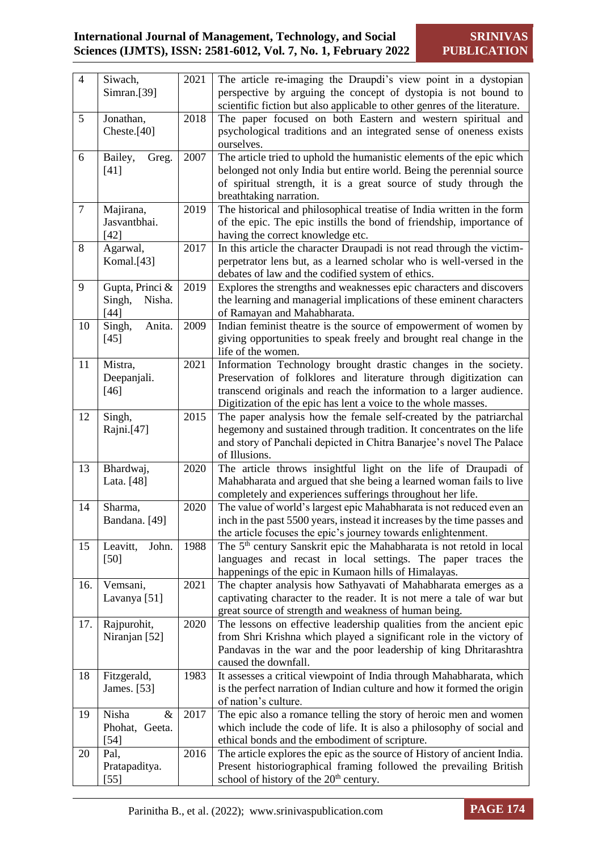# **International Journal of Management, Technology, and Social Sciences (IJMTS), ISSN: 2581-6012, Vol. 7, No. 1, February 2022**

| $\overline{4}$ | Siwach,                 | 2021 | The article re-imaging the Draupdi's view point in a dystopian                                                                           |
|----------------|-------------------------|------|------------------------------------------------------------------------------------------------------------------------------------------|
|                | Simran.[39]             |      | perspective by arguing the concept of dystopia is not bound to                                                                           |
|                |                         |      | scientific fiction but also applicable to other genres of the literature.                                                                |
| 5              | Jonathan,               | 2018 | The paper focused on both Eastern and western spiritual and                                                                              |
|                | Cheste.[40]             |      | psychological traditions and an integrated sense of oneness exists                                                                       |
|                |                         |      | ourselves.                                                                                                                               |
| 6              | Bailey,<br>Greg.        | 2007 | The article tried to uphold the humanistic elements of the epic which                                                                    |
|                | $[41]$                  |      | belonged not only India but entire world. Being the perennial source                                                                     |
|                |                         |      | of spiritual strength, it is a great source of study through the                                                                         |
|                |                         |      | breathtaking narration.                                                                                                                  |
| $\tau$         | Majirana,               | 2019 | The historical and philosophical treatise of India written in the form                                                                   |
|                | Jasvantbhai.            |      | of the epic. The epic instills the bond of friendship, importance of                                                                     |
|                | $[42]$                  |      | having the correct knowledge etc.                                                                                                        |
| 8              | Agarwal,                | 2017 | In this article the character Draupadi is not read through the victim-                                                                   |
|                | Komal.[43]              |      | perpetrator lens but, as a learned scholar who is well-versed in the                                                                     |
|                |                         |      | debates of law and the codified system of ethics.                                                                                        |
| 9              | Gupta, Princi &         | 2019 | Explores the strengths and weaknesses epic characters and discovers                                                                      |
|                | Singh,<br>Nisha.        |      | the learning and managerial implications of these eminent characters                                                                     |
|                | [44]                    |      | of Ramayan and Mahabharata.                                                                                                              |
| 10             | Singh,<br>Anita.        | 2009 | Indian feminist theatre is the source of empowerment of women by                                                                         |
|                | $[45]$                  |      | giving opportunities to speak freely and brought real change in the                                                                      |
|                |                         |      | life of the women.                                                                                                                       |
| 11             | Mistra,                 | 2021 | Information Technology brought drastic changes in the society.                                                                           |
|                | Deepanjali.             |      | Preservation of folklores and literature through digitization can                                                                        |
|                | $[46]$                  |      | transcend originals and reach the information to a larger audience.                                                                      |
|                |                         |      | Digitization of the epic has lent a voice to the whole masses.                                                                           |
| 12             | Singh,                  | 2015 | The paper analysis how the female self-created by the patriarchal                                                                        |
|                | Rajni.[47]              |      | hegemony and sustained through tradition. It concentrates on the life                                                                    |
|                |                         |      | and story of Panchali depicted in Chitra Banarjee's novel The Palace                                                                     |
|                |                         |      | of Illusions.                                                                                                                            |
| 13             | Bhardwaj,               | 2020 | The article throws insightful light on the life of Draupadi of                                                                           |
|                | Lata. [48]              |      | Mahabharata and argued that she being a learned woman fails to live                                                                      |
|                |                         |      | completely and experiences sufferings throughout her life.                                                                               |
| 14             | Sharma,                 | 2020 | The value of world's largest epic Mahabharata is not reduced even an                                                                     |
|                | Bandana. [49]           |      | inch in the past 5500 years, instead it increases by the time passes and                                                                 |
|                |                         |      | the article focuses the epic's journey towards enlightenment.                                                                            |
| 15             | Leavitt,<br>John.       | 1988 | The 5 <sup>th</sup> century Sanskrit epic the Mahabharata is not retold in local                                                         |
|                | $[50]$                  |      | languages and recast in local settings. The paper traces the                                                                             |
|                |                         |      | happenings of the epic in Kumaon hills of Himalayas.                                                                                     |
| 16.            | Vemsani,                | 2021 | The chapter analysis how Sathyavati of Mahabharata emerges as a                                                                          |
|                | Lavanya <sup>[51]</sup> |      | captivating character to the reader. It is not mere a tale of war but                                                                    |
|                |                         |      | great source of strength and weakness of human being.                                                                                    |
| 17.            | Rajpurohit,             | 2020 | The lessons on effective leadership qualities from the ancient epic                                                                      |
|                | Niranjan [52]           |      | from Shri Krishna which played a significant role in the victory of<br>Pandavas in the war and the poor leadership of king Dhritarashtra |
|                |                         |      | caused the downfall.                                                                                                                     |
| 18             | Fitzgerald,             | 1983 | It assesses a critical viewpoint of India through Mahabharata, which                                                                     |
|                | James. [53]             |      | is the perfect narration of Indian culture and how it formed the origin                                                                  |
|                |                         |      | of nation's culture.                                                                                                                     |
| 19             | $\&$<br>Nisha           | 2017 | The epic also a romance telling the story of heroic men and women                                                                        |
|                | Phohat, Geeta.          |      | which include the code of life. It is also a philosophy of social and                                                                    |
|                | $[54]$                  |      | ethical bonds and the embodiment of scripture.                                                                                           |
| 20             | Pal,                    | 2016 | The article explores the epic as the source of History of ancient India.                                                                 |
|                | Pratapaditya.           |      | Present historiographical framing followed the prevailing British                                                                        |
|                | $[55]$                  |      | school of history of the 20 <sup>th</sup> century.                                                                                       |
|                |                         |      |                                                                                                                                          |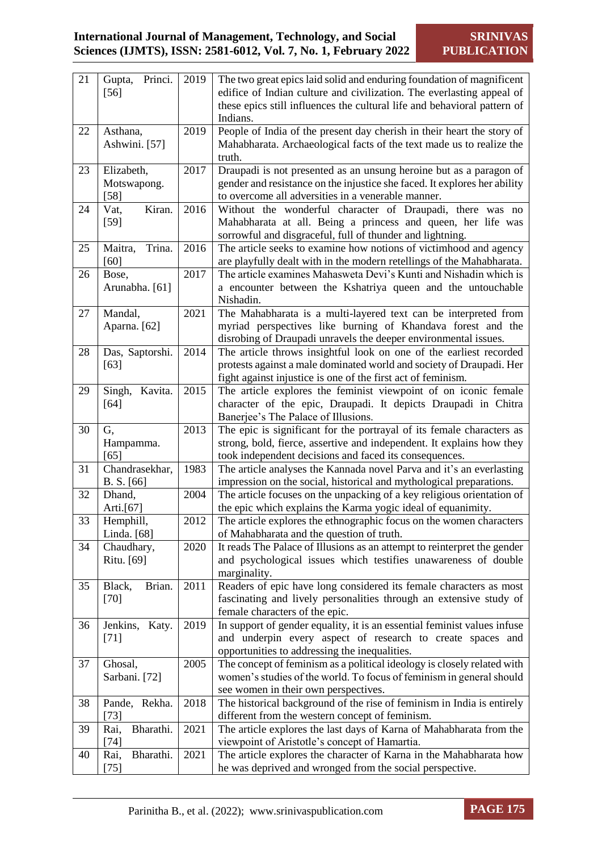| 21 | Princi.<br>Gupta,<br>$[56]$ | 2019 | The two great epics laid solid and enduring foundation of magnificent<br>edifice of Indian culture and civilization. The everlasting appeal of |
|----|-----------------------------|------|------------------------------------------------------------------------------------------------------------------------------------------------|
|    |                             |      | these epics still influences the cultural life and behavioral pattern of<br>Indians.                                                           |
| 22 | Asthana,<br>Ashwini. [57]   | 2019 | People of India of the present day cherish in their heart the story of<br>Mahabharata. Archaeological facts of the text made us to realize the |
|    |                             |      | truth.                                                                                                                                         |
| 23 | Elizabeth,                  | 2017 | Draupadi is not presented as an unsung heroine but as a paragon of                                                                             |
|    | Motswapong.                 |      | gender and resistance on the injustice she faced. It explores her ability                                                                      |
|    | $[58]$                      |      | to overcome all adversities in a venerable manner.                                                                                             |
| 24 | Vat,<br>Kiran.<br>$[59]$    | 2016 | Without the wonderful character of Draupadi, there was no<br>Mahabharata at all. Being a princess and queen, her life was                      |
|    |                             |      | sorrowful and disgraceful, full of thunder and lightning.                                                                                      |
| 25 | Maitra,<br>Trina.           | 2016 | The article seeks to examine how notions of victimhood and agency                                                                              |
|    | [60]                        |      | are playfully dealt with in the modern retellings of the Mahabharata.                                                                          |
| 26 | Bose,                       | 2017 | The article examines Mahasweta Devi's Kunti and Nishadin which is                                                                              |
|    | Arunabha. [61]              |      | a encounter between the Kshatriya queen and the untouchable                                                                                    |
|    |                             |      | Nishadin.                                                                                                                                      |
| 27 | Mandal,                     | 2021 | The Mahabharata is a multi-layered text can be interpreted from                                                                                |
|    | Aparna. [62]                |      | myriad perspectives like burning of Khandava forest and the<br>disrobing of Draupadi unravels the deeper environmental issues.                 |
| 28 | Das, Saptorshi.             | 2014 | The article throws insightful look on one of the earliest recorded                                                                             |
|    | $[63]$                      |      | protests against a male dominated world and society of Draupadi. Her                                                                           |
|    |                             |      | fight against injustice is one of the first act of feminism.                                                                                   |
| 29 | Kavita.<br>Singh,           | 2015 | The article explores the feminist viewpoint of on iconic female                                                                                |
|    | $[64]$                      |      | character of the epic, Draupadi. It depicts Draupadi in Chitra                                                                                 |
|    |                             |      | Banerjee's The Palace of Illusions.                                                                                                            |
|    |                             |      |                                                                                                                                                |
| 30 | G.                          | 2013 | The epic is significant for the portrayal of its female characters as                                                                          |
|    | Hampamma.                   |      | strong, bold, fierce, assertive and independent. It explains how they                                                                          |
|    | $[65]$                      |      | took independent decisions and faced its consequences.                                                                                         |
| 31 | Chandrasekhar,              | 1983 | The article analyses the Kannada novel Parva and it's an everlasting                                                                           |
| 32 | B. S. [66]<br>Dhand,        | 2004 | impression on the social, historical and mythological preparations.<br>The article focuses on the unpacking of a key religious orientation of  |
|    | Arti.[67]                   |      | the epic which explains the Karma yogic ideal of equanimity.                                                                                   |
| 33 | Hemphill,                   | 2012 | The article explores the ethnographic focus on the women characters                                                                            |
|    | Linda. [68]                 |      | of Mahabharata and the question of truth.                                                                                                      |
| 34 | Chaudhary,                  | 2020 | It reads The Palace of Illusions as an attempt to reinterpret the gender                                                                       |
|    | Ritu. [69]                  |      | and psychological issues which testifies unawareness of double                                                                                 |
|    |                             |      | marginality.                                                                                                                                   |
| 35 | Black,<br>Brian.            | 2011 | Readers of epic have long considered its female characters as most                                                                             |
|    | $[70]$                      |      | fascinating and lively personalities through an extensive study of<br>female characters of the epic.                                           |
| 36 | Katy.<br>Jenkins,           | 2019 | In support of gender equality, it is an essential feminist values infuse                                                                       |
|    | $[71]$                      |      | and underpin every aspect of research to create spaces and                                                                                     |
|    |                             |      | opportunities to addressing the inequalities.                                                                                                  |
| 37 | Ghosal,                     | 2005 | The concept of feminism as a political ideology is closely related with                                                                        |
|    | Sarbani. [72]               |      | women's studies of the world. To focus of feminism in general should                                                                           |
|    |                             |      | see women in their own perspectives.                                                                                                           |
| 38 | Pande, Rekha.               | 2018 | The historical background of the rise of feminism in India is entirely                                                                         |
| 39 | $[73]$<br>Bharathi.<br>Rai, | 2021 | different from the western concept of feminism.                                                                                                |
|    | $[74]$                      |      | The article explores the last days of Karna of Mahabharata from the<br>viewpoint of Aristotle's concept of Hamartia.                           |
| 40 | Bharathi.<br>Rai,           | 2021 | The article explores the character of Karna in the Mahabharata how                                                                             |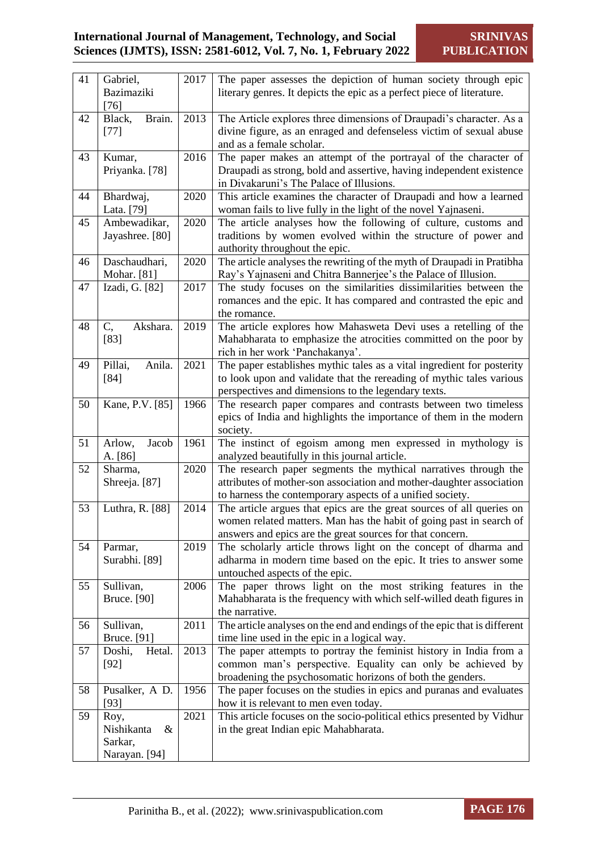| 41 | Gabriel,           | 2017 | The paper assesses the depiction of human society through epic            |
|----|--------------------|------|---------------------------------------------------------------------------|
|    | Bazimaziki         |      | literary genres. It depicts the epic as a perfect piece of literature.    |
|    | $[76]$             |      |                                                                           |
| 42 | Black,<br>Brain.   | 2013 | The Article explores three dimensions of Draupadi's character. As a       |
|    | $[77]$             |      | divine figure, as an enraged and defenseless victim of sexual abuse       |
|    |                    |      | and as a female scholar.                                                  |
| 43 | Kumar,             | 2016 | The paper makes an attempt of the portrayal of the character of           |
|    | Priyanka. [78]     |      | Draupadi as strong, bold and assertive, having independent existence      |
|    |                    |      | in Divakaruni's The Palace of Illusions.                                  |
|    |                    | 2020 |                                                                           |
| 44 | Bhardwaj,          |      | This article examines the character of Draupadi and how a learned         |
|    | Lata. [79]         |      | woman fails to live fully in the light of the novel Yajnaseni.            |
| 45 | Ambewadikar,       | 2020 | The article analyses how the following of culture, customs and            |
|    | Jayashree. [80]    |      | traditions by women evolved within the structure of power and             |
|    |                    |      | authority throughout the epic.                                            |
| 46 | Daschaudhari,      | 2020 | The article analyses the rewriting of the myth of Draupadi in Pratibha    |
|    | Mohar. [81]        |      | Ray's Yajnaseni and Chitra Bannerjee's the Palace of Illusion.            |
| 47 | Izadi, G. [82]     | 2017 | The study focuses on the similarities dissimilarities between the         |
|    |                    |      | romances and the epic. It has compared and contrasted the epic and        |
|    |                    |      | the romance.                                                              |
| 48 | Akshara.<br>C,     | 2019 | The article explores how Mahasweta Devi uses a retelling of the           |
|    | $[83]$             |      | Mahabharata to emphasize the atrocities committed on the poor by          |
|    |                    |      | rich in her work 'Panchakanya'.                                           |
| 49 | Anila.<br>Pillai,  | 2021 | The paper establishes mythic tales as a vital ingredient for posterity    |
|    | $[84]$             |      | to look upon and validate that the rereading of mythic tales various      |
|    |                    |      | perspectives and dimensions to the legendary texts.                       |
| 50 | Kane, P.V. [85]    | 1966 | The research paper compares and contrasts between two timeless            |
|    |                    |      | epics of India and highlights the importance of them in the modern        |
|    |                    |      | society.                                                                  |
| 51 | Arlow,<br>Jacob    | 1961 | The instinct of egoism among men expressed in mythology is                |
|    |                    |      |                                                                           |
|    | A. [86]            |      | analyzed beautifully in this journal article.                             |
| 52 | Sharma,            | 2020 | The research paper segments the mythical narratives through the           |
|    | Shreeja. [87]      |      | attributes of mother-son association and mother-daughter association      |
|    |                    |      | to harness the contemporary aspects of a unified society.                 |
| 53 | Luthra, R. [88]    | 2014 | The article argues that epics are the great sources of all queries on     |
|    |                    |      | women related matters. Man has the habit of going past in search of       |
|    |                    |      | answers and epics are the great sources for that concern.                 |
| 54 | Parmar,            | 2019 | The scholarly article throws light on the concept of dharma and           |
|    | Surabhi. [89]      |      | adharma in modern time based on the epic. It tries to answer some         |
|    |                    |      | untouched aspects of the epic.                                            |
| 55 | Sullivan,          | 2006 | The paper throws light on the most striking features in the               |
|    | <b>Bruce.</b> [90] |      | Mahabharata is the frequency with which self-willed death figures in      |
|    |                    |      | the narrative.                                                            |
| 56 | Sullivan,          | 2011 | The article analyses on the end and endings of the epic that is different |
|    | Bruce. [91]        |      | time line used in the epic in a logical way.                              |
| 57 | Doshi,<br>Hetal.   | 2013 | The paper attempts to portray the feminist history in India from a        |
|    | $[92]$             |      | common man's perspective. Equality can only be achieved by                |
|    |                    |      | broadening the psychosomatic horizons of both the genders.                |
| 58 | Pusalker, A D.     | 1956 | The paper focuses on the studies in epics and puranas and evaluates       |
|    | $[93]$             |      | how it is relevant to men even today.                                     |
| 59 | Roy,               | 2021 | This article focuses on the socio-political ethics presented by Vidhur    |
|    | Nishikanta<br>&    |      | in the great Indian epic Mahabharata.                                     |
|    | Sarkar,            |      |                                                                           |
|    |                    |      |                                                                           |
|    | Narayan. [94]      |      |                                                                           |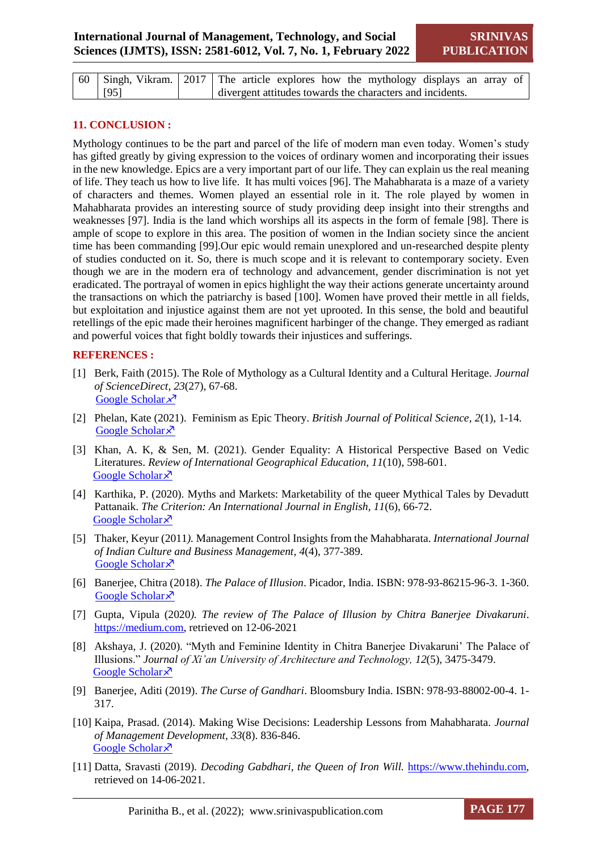| $\vert$ 60 $\vert$ Singh, Vikram. $\vert$ 2017 $\vert$ The article explores how the mythology displays an array of |                                                             |  |  |  |  |  |  |  |  |
|--------------------------------------------------------------------------------------------------------------------|-------------------------------------------------------------|--|--|--|--|--|--|--|--|
| $\sqrt{95}$                                                                                                        | I divergent attitudes towards the characters and incidents. |  |  |  |  |  |  |  |  |

#### **11. CONCLUSION :**

Mythology continues to be the part and parcel of the life of modern man even today. Women's study has gifted greatly by giving expression to the voices of ordinary women and incorporating their issues in the new knowledge. Epics are a very important part of our life. They can explain us the real meaning of life. They teach us how to live life. It has multi voices [96]. The Mahabharata is a maze of a variety of characters and themes. Women played an essential role in it. The role played by women in Mahabharata provides an interesting source of study providing deep insight into their strengths and weaknesses [97]. India is the land which worships all its aspects in the form of female [98]. There is ample of scope to explore in this area. The position of women in the Indian society since the ancient time has been commanding [99].Our epic would remain unexplored and un-researched despite plenty of studies conducted on it. So, there is much scope and it is relevant to contemporary society. Even though we are in the modern era of technology and advancement, gender discrimination is not yet eradicated. The portrayal of women in epics highlight the way their actions generate uncertainty around the transactions on which the patriarchy is based [100]. Women have proved their mettle in all fields, but exploitation and injustice against them are not yet uprooted. In this sense, the bold and beautiful retellings of the epic made their heroines magnificent harbinger of the change. They emerged as radiant and powerful voices that fight boldly towards their injustices and sufferings.

#### **REFERENCES :**

- [1] Berk, Faith (2015). The Role of Mythology as a Cultural Identity and a Cultural Heritage. *Journal of ScienceDirect, 23*(27), 67-68. [Google Scholar](https://scholar.google.com/scholar?hl=en&as_sdt=0%2C5&q=1.%09Berk%2C+Faith.+%282015%29.+%E2%80%9CThe+Role+of+Mythology+as+a+Cultural+Identity+and+a+Cultural+Heritage.%E2%80%9D+Journal+of+ScienceDirect%2C+23%2827%29%2C+67-68.&btnG=)  $x^7$
- [2] Phelan, Kate (2021). Feminism as Epic Theory. *British Journal of Political Science, 2*(1), 1-14*.* [Google Scholar](https://scholar.google.com/scholar?hl=en&as_sdt=0%2C5&q=feminism+as+epic+theory+by+KM+Phelan&btnG=) ×
- [3] Khan, A. K, & Sen, M. (2021). Gender Equality: A Historical Perspective Based on Vedic Literatures. *Review of International Geographical Education, 11*(10), 598-601. [Google Scholar](https://scholar.google.com/scholar?hl=en&as_sdt=0%2C5&q=gender+equality+a+historical+perspective+based+on+vedic+literature&btnG=)<sup> $\lambda$ </sup>
- [4] Karthika, P. (2020). Myths and Markets: Marketability of the queer Mythical Tales by Devadutt Pattanaik. *The Criterion: An International Journal in English, 11*(6), 66-72. [Google Scholar](https://scholar.google.com/scholar?hl=en&as_sdt=0%2C5&q=Myths+and+Markets%3A+Marketability+of+the+Queer+Mythical+Tales+by+Devdutta+Pattanaik&btnG=) ×
- [5] Thaker, Keyur (2011*).* Management Control Insights from the Mahabharata. *International Journal of Indian Culture and Business Management, 4*(4), 377-389. [Google Scholar](https://scholar.google.com/scholar?hl=en&as_sdt=0%2C5&q=Management+control+insights+from+the+mahabharata&btnG=) ×
- [6] Banerjee, Chitra (2018). *The Palace of Illusion*. Picador, India. ISBN: 978-93-86215-96-3. 1-360. [Google Scholar](https://scholar.google.com/scholar?hl=en&as_sdt=0%2C5&q=he+Palace+of+illusion+BK+Chitra+-+London%3A+Pan+Macmillan+Ltd%2C+2009&btnG=) ×
- [7] Gupta, Vipula (2020*). The review of The Palace of Illusion by Chitra Banerjee Divakaruni*. [https://medium.com,](https://medium.com/) retrieved on 12-06-2021
- [8] Akshaya, J. (2020)*.* "Myth and Feminine Identity in Chitra Banerjee Divakaruni' The Palace of Illusions." *Journal of Xi'an University of Architecture and Technology, 12*(5), 3475-3479. [Google Scholar](https://scholar.google.com/scholar?hl=en&as_sdt=0%2C5&q=Myth+and+Feminine+Identity+in+chitra+Banerjee+Divakaruni+The+Palace+of+Illusions&btnG=) ×
- [9] Banerjee, Aditi (2019). *The Curse of Gandhari*. Bloomsbury India. ISBN: 978-93-88002-00-4. 1- 317.
- [10] Kaipa, Prasad. (2014). Making Wise Decisions: Leadership Lessons from Mahabharata. *Journal of Management Development, 33*(8). 836-846. [Google Scholar](https://scholar.google.com/scholar?hl=en&as_sdt=0%2C5&q=making+wise+decisions%3A+leadership+lessons+from+mahabharata&btnG=) ×
- [11] Datta, Sravasti (2019). *Decoding Gabdhari, the Queen of Iron Will.* [https://www.thehindu.com,](https://www.thehindu.com/) retrieved on 14-06-2021.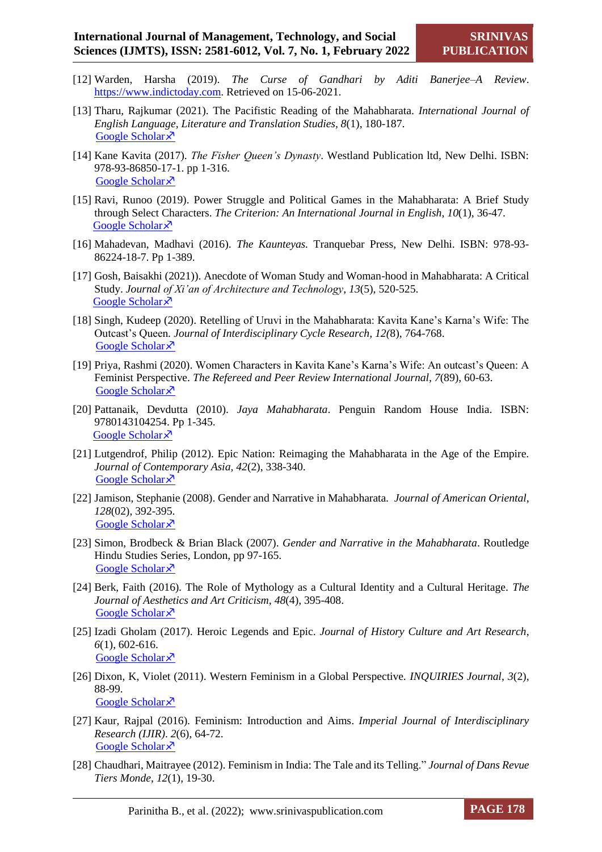- [12] Warden, Harsha (2019). *The Curse of Gandhari by Aditi Banerjee–A Review*. [https://www.indictoday.com.](https://www.indictoday.com/) Retrieved on 15-06-2021.
- [13] Tharu, Rajkumar (2021). The Pacifistic Reading of the Mahabharata. *International Journal of English Language, Literature and Translation Studies, 8*(1), 180-187. [Google Scholar](https://scholar.google.com/scholar?hl=en&as_sdt=0%2C5&q=+Tharu%2C+Rajkumar.+%E2%80%9CThe+Pacifistic+Reading+of+the+Mahabharata.%E2%80%9D+7.&btnG=) ×
- [14] Kane Kavita (2017). *The Fisher Queen's Dynasty*. Westland Publication ltd, New Delhi. ISBN: 978-93-86850-17-1. pp 1-316. [Google Scholar](https://scholar.google.com/scholar?hl=en&as_sdt=0%2C5&q=Kane+Kavita++The+Fisher+Queen%E2%80%99s+Dynasty.&btnG=) ×
- [15] Ravi, Runoo (2019). Power Struggle and Political Games in the Mahabharata: A Brief Study through Select Characters. *The Criterion: An International Journal in English*, *10*(1), 36-47. [Google Scholar](https://scholar.google.com/scholar?hl=en&as_sdt=0%2C5&scioq=Chatur%2C+Krishna.+%26+S%2C+Lavanya.+%282019%29.+%E2%80%9CSatyavati%3A+The+Enigmatic+Women+in+Kavita+Kane%E2%80%99s+The+Fisher+Queen%E2%80%99s+Dynasty.%E2%80%9DInternational+Journal+of+Psychosocia) ×
- [16] Mahadevan, Madhavi (2016). *The Kaunteyas.* Tranquebar Press, New Delhi. ISBN: 978-93- 86224-18-7. Pp 1-389.
- [17] Gosh, Baisakhi (2021)). Anecdote of Woman Study and Woman-hood in Mahabharata: A Critical Study. *Journal of Xi'an of Architecture and Technology*, *13*(5), 520-525. [Google Scholar](https://scholar.google.com/scholar?hl=en&as_sdt=0%2C5&q=Anecdote+of+Woman+%26+Woman-hood+in+Mahabharata%3A+A+Critical+Study&btnG=) ×
- [18] Singh, Kudeep (2020). Retelling of Uruvi in the Mahabharata: Kavita Kane's Karna's Wife: The Outcast's Queen*. Journal of Interdisciplinary Cycle Research, 12(*8), 764-768. [Google Scholar](https://scholar.google.com/scholar?hl=en&as_sdt=0%2C5&q=Retelling+of+Uruvi+in+the+Mahabharata%3A++Kavita+Kane%E2%80%99s+Karna%E2%80%99s+Wife%3A+The+Outcast%E2%80%99s+Queen&btnG=) ×
- [19] Priya, Rashmi (2020). Women Characters in Kavita Kane's Karna's Wife: An outcast's Queen: A Feminist Perspective. *The Refereed and Peer Review International Journal, 7*(89), 60-63. [Google Scholar](https://scholar.google.com/scholar?hl=en&as_sdt=0%2C5&q=+Women+Characters+in+Kavita+Kane%27s+Karna%27s+Wife%3A+An+Outcaste+Queen%3A+A+Feminist+Perspective&btnG=) ×
- [20] Pattanaik, Devdutta (2010). *Jaya Mahabharata*. Penguin Random House India. ISBN: 9780143104254. Pp 1-345. [Google Scholar](https://scholar.google.com/scholar?hl=en&as_sdt=0%2C5&q=Pattanaik%2C+Devdutta.+Jaya%3A+An+Illustrated+Retelling+of+the+Mahabharata.+&btnG=) ×
- [21] Lutgendrof, Philip (2012). Epic Nation: Reimaging the Mahabharata in the Age of the Empire. *Journal of Contemporary Asia, 42*(2), 338-340. [Google Scholar](https://scholar.google.com/scholar?hl=en&as_sdt=0%2C5&q=Epic+Nation%3A+Reimagining+the+Mahabharata+in+the+Age+of+the+Empire&btnG=) ×
- [22] Jamison, Stephanie (2008). Gender and Narrative in Mahabharata*. Journal of American Oriental*, *128*(02), 392-395. [Google Scholar](https://scholar.google.com/scholar?hl=en&as_sdt=0%2C5&q=Gender+and+Narrative+in+the+Mahabharata+jamison+stephanie&oq=Gender+and+Narrative+in+the+Mahabharata+Jamison%2C+Stepha) ×
- [23] Simon, Brodbeck & Brian Black (2007). *Gender and Narrative in the Mahabharata*. Routledge Hindu Studies Series, London, pp 97-165. [Google Scholar](https://scholar.google.com/scholar?hl=en&as_sdt=0%2C5&q=Gender+and+Narrative+in+the+Mahabharata+Simon+Brodbeck&btnG=) ×
- [24] Berk, Faith (2016)*.* The Role of Mythology as a Cultural Identity and a Cultural Heritage. *The Journal of Aesthetics and Art Criticism, 48*(4), 395-408. [Google Scholar](https://scholar.google.com/scholar?hl=en&as_sdt=0%2C5&q=Berk%2C+Faith.+%282016%29.+%E2%80%9CThe+Role+of+Mythology+as+a+Cultural+Identity+and+a+Cultural+Heritage.%E2%80%9DThe+Journal+of+Aesthetics+and+Art+Criticism%2C+48%284%29%2C+395-408.&btnG=) ×
- [25] Izadi Gholam (2017). Heroic Legends and Epic. *Journal of History Culture and Art Research*, *6*(1), 602-616. [Google Scholar](https://scholar.google.com/scholar?hl=en&as_sdt=0%2C5&q=Izadi+Gholam.+%282017%29.+%E2%80%9CHeroic+Legends+and+Epic.%E2%80%9DJournal+of+History+Culture+and+Art+Research%2C+6%281%29%2C+602-616.&btnG=) ×
- [26] Dixon, K, Violet (2011). Western Feminism in a Global Perspective*. INQUIRIES Journal*, *3*(2), 88-99. [Google Scholar](https://scholar.google.com/scholar?hl=en&as_sdt=0%2C5&q=Dixon%2C+K%2C+Violet.+%282011%29.+%E2%80%9CWestern+Feminism+in+a+Global+Perspective.%E2%80%9D+INQUIRIES+Journal%2C+3%282%29%2C+88-99.&btnG=) ×
- [27] Kaur, Rajpal (2016). Feminism: Introduction and Aims. *Imperial Journal of Interdisciplinary Research (IJIR)*. *2*(6), 64-72. [Google Scholar](https://scholar.google.com/scholar?hl=en&as_sdt=0%2C5&q=Kaur%2C+Rajpal.+%E2%80%9CFeminism%3A+Introduction+and+Aims.%E2%80%9D+&btnG=) ×
- [28] Chaudhari, Maitrayee (2012). Feminism in India: The Tale and its Telling." *Journal of Dans Revue Tiers Monde*, *12*(1), 19-30.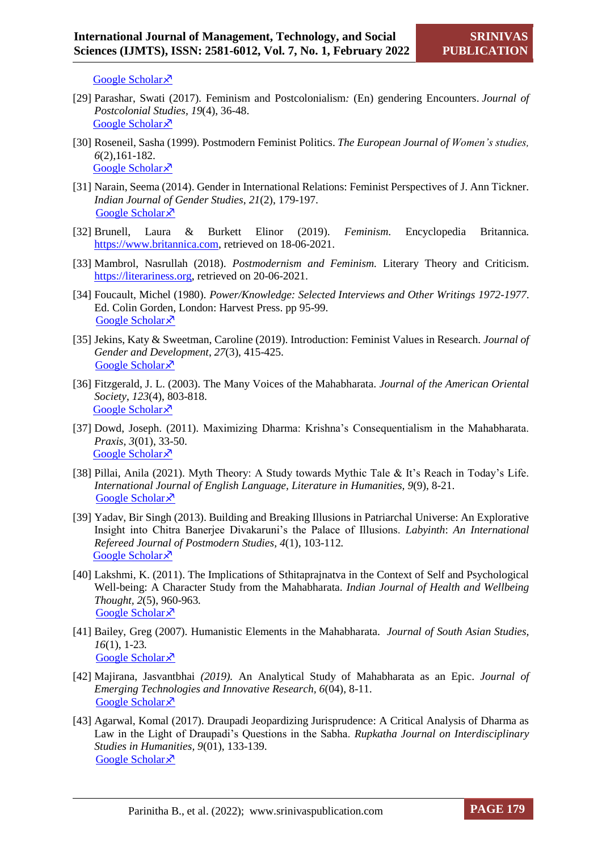[Google Scholar](https://scholar.google.com/scholar?hl=en&as_sdt=0%2C5&q=Chaudhari%2C+Maitrayee.+%282012%29.+%E2%80%9CFeminismin+India%3A+The+Tale+and+its+Telling.%E2%80%9D+Journal+of+Dans+Revue+Tiers+Monde%2C+12%281%29%2C+19-30.+&btnG=) ×

- [29] Parashar, Swati (2017)*.* Feminism and Postcolonialism*:* (En) gendering Encounters. *Journal of Postcolonial Studies, 19*(4), 36-48. [Google Scholar](https://scholar.google.com/scholar?hl=en&as_sdt=0%2C5&q=Parashar%2C+Swati.+%282017%29.+%E2%80%9CFeminism+and+Postcolonialism%3A+%28En%29gendering+Encounters.%E2%80%9DJournal+of+Postcolonial+Studies%2C+19%284%29%2C+36-48.+&btnG=)<sup> $\lambda$ </sup>
- [30] Roseneil, Sasha (1999). Postmodern Feminist Politics. *The European Journal of Women's studies, 6*(2),161-182. [Google Scholar](https://scholar.google.com/scholar?hl=en&as_sdt=0%2C5&q=Roseneil%2C+Sasha.+%281999%29.+%E2%80%9CPostmodern+Feminist+Politics.%E2%80%9D+The+European+Journal+of+Women%E2%80%99s+studies%2C+6%282%29%2C161-182.+&btnG=) ×
- [31] Narain, Seema (2014). Gender in International Relations: Feminist Perspectives of J. Ann Tickner. *Indian Journal of Gender Studies*, *21*(2), 179-197. [Google Scholar](https://scholar.google.com/scholar?hl=en&as_sdt=0%2C5&q=Journal+article+on+Gender+in++International++Relations%3A+Feminist++Perspectives+of++J.+ann+tickner+by+S+Narain&btnG=) ×
- [32] Brunell, Laura & Burkett Elinor (2019). *Feminism*. Encyclopedia Britannica*.*  [https://www.britannica.com,](https://www.britannica.com/) retrieved on 18-06-2021.
- [33] Mambrol, Nasrullah (2018). *Postmodernism and Feminism.* Literary Theory and Criticism. [https://literariness.org,](https://literariness.org/) retrieved on 20-06-2021.
- [34] Foucault, Michel (1980). *Power/Knowledge: Selected Interviews and Other Writings 1972-1977*. Ed. Colin Gorden, London: Harvest Press. pp 95-99. [Google Scholar](https://scholar.google.com/scholar?hl=en&as_sdt=0%2C5&q=Foucault%2C+Michel.+%281980%29.+Power%2FKnowledge%3A+Selected+Interviews+and+Other+Writings+1972-1977.+Ed.+Colin+Gorden%2C+London%3A+Harvest+Press.+pp+98-99.&btnG=) ×
- [35] Jekins, Katy & Sweetman, Caroline (2019). Introduction: Feminist Values in Research. *Journal of Gender and Development*, *27*(3), 415-425. [Google Scholar](https://scholar.google.com/scholar?hl=en&as_sdt=0%2C5&q=Jekins%2C+Katy+%26+Sweetman%2C+Caroline.+%282019%29.+%E2%80%9CIntroduction%3A+Feminist+Values+in+Research.%E2%80%9D+Journal+of+Gender+and+Development%2C+27%283%29%2C+415-425.&btnG=) ×
- [36] Fitzgerald, J. L. (2003). The Many Voices of the Mahabharata. *Journal of the American Oriental Society*, *123*(4), 803-818. [Google Scholar](https://scholar.google.com/scholar?hl=en&as_sdt=0%2C5&q=Fitzgerald+The+Many+Voices+of+the+Mahabharata&btnG=) ×
- [37] Dowd, Joseph. (2011). Maximizing Dharma: Krishna's Consequentialism in the Mahabharata. *Praxis, 3*(01), 33-50. [Google Scholar](https://scholar.google.com/scholar?hl=en&as_sdt=0%2C5&q=Dowd%2C+Joseph.+%282011%29.+%E2%80%9CMaximizing+Dharma%3A+Krishna%E2%80%99s+Consequentialism+in+the+Mahabharata%E2%80%9D.+Praxis%2C+3%2801%29%2C+33-50.&btnG=)  $\lambda$
- [38] Pillai, Anila (2021). Myth Theory: A Study towards Mythic Tale & It's Reach in Today's Life. *International Journal of English Language, Literature in Humanities, 9*(9), 8-21. [Google Scholar](https://scholar.google.com/scholar?hl=en&as_sdt=0%2C5&q=Pillai%2C+A.+A.%2C+%26+Kaushal%2C+U.+Myth+Theory%3A+A+Study+towards+Mythic+Tale+%26+It%E2%80%99s+Reach+in+Today%E2%80%99s+Life&btnG=) ×
- [39] Yadav, Bir Singh (2013). Building and Breaking Illusions in Patriarchal Universe: An Explorative Insight into Chitra Banerjee Divakaruni's the Palace of Illusions. *Labyinth*: *An International Refereed Journal of Postmodern Studies, 4*(1), 103-112*.* [Google Scholar](https://scholar.google.com/scholar?hl=en&as_sdt=0%2C5&q=Building+and+Breaking+Illusions+in+Patriarchal+Universe%3A+An+Explorative+Insight+into+Chitra+Banerjee+Divakaruni%27s+The+Palace+of+Illusions.&btnG=) ×
- [40] Lakshmi, K. (2011). The Implications of Sthitaprajnatva in the Context of Self and Psychological Well-being: A Character Study from the Mahabharata. *Indian Journal of Health and Wellbeing Thought, 2*(5), 960-963*.* [Google Scholar](https://scholar.google.com/scholar?hl=en&as_sdt=0%2C5&q=The+Implications+of+Sthitaprajnatva+in+the+Context+of+Self+and+Psychological+Well-Being%3AA+Character+Study+from+the+Mahabharata&btnG=) ×
- [41] Bailey, Greg (2007). Humanistic Elements in the Mahabharata. *Journal of South Asian Studies, 16*(1), 1-23*.* [Google Scholar](https://scholar.google.com/scholar?hl=en&as_sdt=0%2C5&q=Humanistic+elements+in+the+Mahabharata+Greg+Bailey&btnG=) ×
- [42] Majirana, Jasvantbhai *(2019).* An Analytical Study of Mahabharata as an Epic. *Journal of Emerging Technologies and Innovative Research, 6*(04), 8-11. [Google Scholar](https://scholar.google.com/scholar?hl=en&as_sdt=0%2C5&q=Majirana%2C+Jasvantbhai.+%282019%29.+%E2%80%9CAn+Analytical+Study+of+Mahabharata+as+an+Epic%E2%80%9D.+Journal+of+Emerging+Technologies+and+Innovative+Research%2C+6%2804%29%2C+8-11.+&btnG=) ×
- [43] Agarwal, Komal (2017). Draupadi Jeopardizing Jurisprudence: A Critical Analysis of Dharma as Law in the Light of Draupadi's Questions in the Sabha. *Rupkatha Journal on Interdisciplinary Studies in Humanities, 9*(01), 133-139. [Google Scholar](https://scholar.google.com/scholar?hl=en&as_sdt=0%2C5&q=Agarwal%2C+Komal.+%282017%29.+%E2%80%9CDraupadi+Jeopardizing+Jurisprudence%3A+A+Critical+Analysis+of+Dharma+as+Law+in+the+Light+of+Draupadi%E2%80%99s+Questions+in+the+Sabha%E2%80%9D.+Rupkatha+Journal+) ×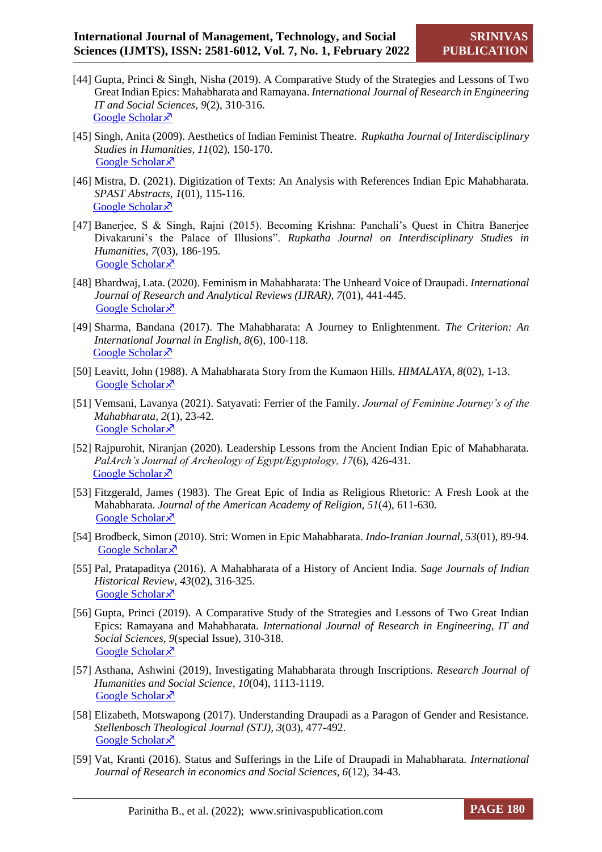- [44] Gupta, Princi & Singh, Nisha (2019). A Comparative Study of the Strategies and Lessons of Two Great Indian Epics: Mahabharata and Ramayana. *International Journal of Research in Engineering IT and Social Sciences, 9*(2), 310-316. [Google Scholar](https://scholar.google.com/scholar?hl=en&as_sdt=0%2C5&q=A+Comparative+Study+of+the+Strategies+and++Lessons+of+Two+Great+Indian+Epics%3A++Mahabharata+and+Ramayana&btnG=) ×
- [45] Singh, Anita (2009). Aesthetics of Indian Feminist Theatre. *Rupkatha Journal of Interdisciplinary Studies in Humanities, 11*(02), 150-170. [Google Scholar](https://scholar.google.com/scholar?hl=en&as_sdt=0%2C5&q=Singh%2C+Anita.+%282009%29.+%E2%80%9CAesthetics+of+Indian+Feminist+Theatre%E2%80%9D.++Rupkatha+Journal+of+Interdisciplinary+Studies+in+Humanities%2C+11%2802%29%2C+150-170.+&btnG=) ×
- [46] Mistra, D. (2021). Digitization of Texts: An Analysis with References Indian Epic Mahabharata. *SPAST Abstracts, 1*(01), 115-116. [Google Scholar](https://scholar.google.com/scholar?hl=en&as_sdt=0%2C5&q=Mistra%2C+D.+%282021%29.+%E2%80%9CDigitization+of+Texts%3A+An+Analysis+with+References+Indian+Epic+Mahabharata%E2%80%9D.+SPAST+Abstracts%2C+1%2801%29%2C+115-116.+&btnG=)<sup> $\lambda$ </sup>
- [47] Banerjee, S & Singh, Rajni (2015). Becoming Krishna: Panchali's Quest in Chitra Banerjee Divakaruni's the Palace of Illusions". *Rupkatha Journal on Interdisciplinary Studies in Humanities, 7*(03), 186-195*.* [Google Scholar](https://scholar.google.com/scholar?hl=en&as_sdt=0%2C5&q=47.%09Singh%2C+Rajni.+%282015%29.+%E2%80%9CBecoming+Krishna%3A+Panchali%E2%80%99s+Quest+in+Chitra+Banerjee+Divakaruni%E2%80%99s+The+Palace+of+Illusions%E2%80%9D.+Rupkatha+Journal+on+Interdisciplinary+) ×
- [48] Bhardwaj, Lata. (2020). Feminism in Mahabharata: The Unheard Voice of Draupadi. *International Journal of Research and Analytical Reviews (IJRAR), 7*(01), 441-445. [Google Scholar](https://scholar.google.com/scholar?hl=en&as_sdt=0%2C5&q=Bhardwaj%2C+Lata.+Feminism+in+Mahabharata%3A+The+Unheard+Voice+of+Draupadi.+&btnG=)<sup> $\lambda$ </sup>
- [49] Sharma, Bandana (2017). The Mahabharata: A Journey to Enlightenment. *The Criterion: An International Journal in English, 8*(6), 100-118. [Google Scholar](https://scholar.google.com/scholar?hl=en&as_sdt=0%2C5&q=The+Mahabharata%3A+A+Journey+to+Enlightenment&btnG=) ×
- [50] Leavitt, John (1988). A Mahabharata Story from the Kumaon Hills. *HIMALAYA, 8*(02), 1-13. [Google Scholar](https://scholar.google.com/scholar?hl=en&as_sdt=0%2C5&q=50.%09Leavitt%2C+John.+%281988%29.+%E2%80%9CA+Mahabharata+Story+from+the+Kumaon+Hills%E2%80%9D.+HIMALAYA%2C+8%2802%29%2C+1-13.+&btnG=)<sup> $\lambda$ </sup>
- [51] Vemsani, Lavanya (2021). Satyavati: Ferrier of the Family. *Journal of Feminine Journey's of the Mahabharata, 2*(1), 23-42. [Google Scholar](https://scholar.google.com/scholar?hl=en&as_sdt=0%2C5&q=Satyavati%3A+Ferrier+of+the+Family+L+Vemsani&btnG=) ×
- [52] Rajpurohit, Niranjan (2020). Leadership Lessons from the Ancient Indian Epic of Mahabharata. *PalArch's Journal of Archeology of Egypt/Egyptology, 17*(6), 426-431*.* [Google Scholar](https://scholar.google.com/scholar?q=Rajpurohit,+Niranjan.+(2020).+%E2%80%9CLeadership+Lessons+from+the+Ancient+Indian+Epic+of+Mahabharata%E2%80%9D.+PalArch%E2%80%99s+Journal+of+Archeology+of+Egypt/Egyptology,+17(6),+426-431.+&hl=en&as_sdt=0,5)<sup> $\lambda$ </sup>
- [53] Fitzgerald, James (1983). The Great Epic of India as Religious Rhetoric: A Fresh Look at the Mahabharata. *Journal of the American Academy of Religion, 51*(4), 611-630*.* [Google Scholar](https://scholar.google.com/scholar?q=The+Great+Epic+of+India+as+Religious+Rhetoric:+A+Fresh+Look+at+the+%22Mah%C4%81bh%C4%81rata%22+James+L.+Fitzgerald&hl=en&as_sdt=0,5) ×
- [54] Brodbeck, Simon (2010). Stri: Women in Epic Mahabharata. *Indo-Iranian Journal, 53*(01), 89-94. [Google Scholar](https://scholar.google.com/scholar?hl=en&as_sdt=0%2C5&q=Reviewed+Work%3A+Str%C4%AB%3A+Women+in+Epic+Mah%C4%81bh%C4%81rata+by+Kevin+McGrath+Review+by%3A+Simon+Brodbeck&btnG=) ×
- [55] Pal, Pratapaditya (2016). A Mahabharata of a History of Ancient India. *Sage Journals of Indian Historical Review, 43*(02), 316-325. [Google Scholar](https://scholar.google.com/scholar?hl=en&as_sdt=0%2C5&q=+A+Mahabharata+of+a+History+of+Ancient+India++&btnG=) ×
- [56] Gupta, Princi (2019). A Comparative Study of the Strategies and Lessons of Two Great Indian Epics: Ramayana and Mahabharata. *International Journal of Research in Engineering, IT and Social Sciences, 9*(special Issue), 310-318. [Google Scholar](https://scholar.google.com/scholar?hl=en&as_sdt=0%2C5&q=Gupta%2C+Princi++A+Comparative+Study+of+the+Strategies+and+Lessons+of+Two+Great+Indian+Epics%3A+Ramayana+and+Mahabharata+&btnG=) ×
- [57] Asthana, Ashwini (2019), Investigating Mahabharata through Inscriptions. *Research Journal of Humanities and Social Science, 10*(04), 1113-1119. [Google Scholar](https://scholar.google.com/scholar?hl=en&as_sdt=0%2C5&q=Asthana%2C+Ashwini.+%282019%29%2C+%E2%80%9CInvestigating+Mahabharata+through+Inscriptions%E2%80%9D.+Research+Journal+of+Humanities+and+Social+Science%2C+10%2804%29%2C+1113-1119.+&btnG=)<sup> $\lambda$ </sup>
- [58] Elizabeth, Motswapong (2017). Understanding Draupadi as a Paragon of Gender and Resistance. *Stellenbosch Theological Journal (STJ), 3*(03), 477-492. [Google Scholar](https://scholar.google.com/scholar?hl=en&as_sdt=0%2C5&q=Elizabeth%2C+Motswapong.+%282017%29.+%E2%80%9CUnderstanding+Draupadi+as+a+Paragon+of+Gender+and+Resistance%E2%80%9D.+Stellenbosch+Theological+Journal+%28STJ%29%2C+3%2803%29%2C+477-492.+&btnG=) ×
- [59] Vat, Kranti (2016). Status and Sufferings in the Life of Draupadi in Mahabharata. *International Journal of Research in economics and Social Sciences, 6*(12), 34-43.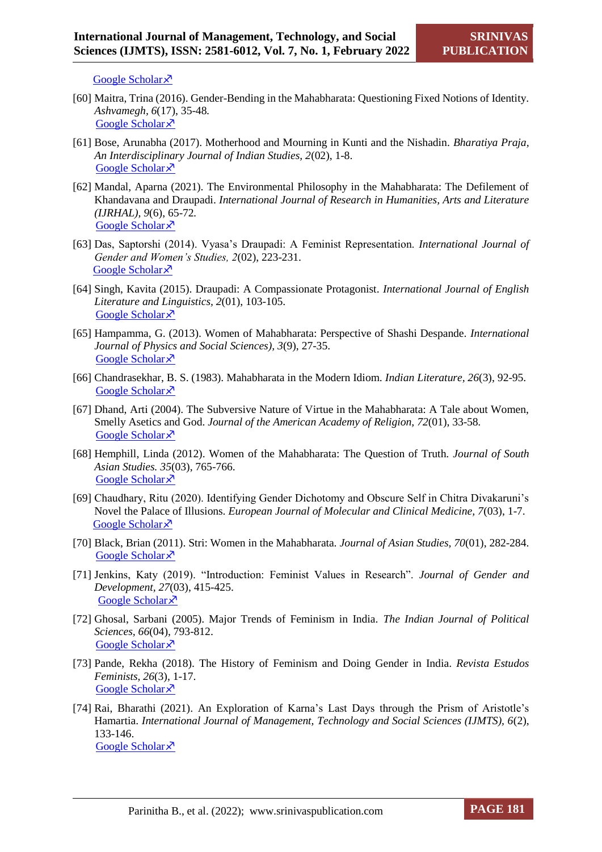[Google Scholar](https://scholar.google.com/scholar?hl=en&as_sdt=0%2C5&q=Vat%2C+Kranti.+%282016%29.+%E2%80%9CStatus+and+Sufferings+in+the+Life+of+Draupadi+in+Mahabharata%E2%80%9D.+International+Journal+of+Research+in+economics+and+Social+Sciences%2C+6%2812%29%2C+34-43.+&bt) ×

- [60] Maitra, Trina (2016). Gender-Bending in the Mahabharata: Questioning Fixed Notions of Identity. *Ashvamegh, 6*(17), 35-48*.* [Google Scholar](https://scholar.google.com/scholar?hl=en&as_sdt=0%2C5&q=Maitra%2C+Trina.+%282016%29.+%E2%80%9CGender-Bending+in+the+Mahabharata%3A+Questioning+Fixed+Notions+of+Identity%E2%80%9D.+Ashvamegh%2C+6%2817%29%2C+35-48.+&btnG=) ×
- [61] Bose, Arunabha (2017). Motherhood and Mourning in Kunti and the Nishadin. *Bharatiya Praja, An Interdisciplinary Journal of Indian Studies, 2*(02), 1-8. [Google Scholar](https://scholar.google.com/scholar?hl=en&as_sdt=0%2C5&q=Bose%2C+Arunabha.+%282017%29.+%E2%80%9CMotherhood+and+Mourning+in+Kunti+and+the+Nishadin%E2%80%9D.+Bharatiya+Praja%2C+An+Interdisciplinary+Journal+of+Indian+Studies%2C+2%2802%29%2C+1-8.+&btnG=) ×
- [62] Mandal, Aparna (2021). The Environmental Philosophy in the Mahabharata: The Defilement of Khandavana and Draupadi. *International Journal of Research in Humanities, Arts and Literature (IJRHAL), 9*(6), 65-72*.*  [Google Scholar](https://scholar.google.com/scholar?hl=en&as_sdt=0%2C5&q=Mandal%2C+Aparna.+%282021%29.+%E2%80%9CThe+Environmental+Philosophy+in+the+Mahabharata%3A+The+Defilement+of+Khandavana+and+Draupadi%E2%80%9D.+International+Journal+of+Research+in+Humanities%2C+Arts+an) ×
- [63] Das, Saptorshi (2014). Vyasa's Draupadi: A Feminist Representation. *International Journal of Gender and Women's Studies, 2*(02), 223-231. [Google Scholar](https://scholar.google.com/scholar?hl=en&as_sdt=0%2C5&q=Das%2C+Saptorshi.+%282014%29.+%E2%80%9CVyasa%E2%80%99s+Draupadi%3A+A+Feminist+Representation%E2%80%9D.+International+Journal+of+Gender+and+Women%E2%80%99s+Studies%2C+2%2802%29%2C+223-231.+&btnG=) ×
- [64] Singh, Kavita (2015). Draupadi: A Compassionate Protagonist. *International Journal of English Literature and Linguistics, 2*(01), 103-105. Google [Scholar](https://scholar.google.com/scholar?hl=en&as_sdt=0%2C5&q=Singh%2C+Kavita.+%282015%29.+%E2%80%9CDraupadi%3A+A+Compassionate+Protagonist%E2%80%9D.+International+Journal+of+English+Literature+and+Linguistics%2C+2%2801%29%2C+103-105.+&btnG=) ×
- [65] Hampamma, G. (2013). Women of Mahabharata: Perspective of Shashi Despande. *International Journal of Physics and Social Sciences), 3*(9), 27-35. [Google Scholar](https://scholar.google.com/scholar?hl=en&as_sdt=0%2C5&q=+Women+of+the+Mahabharatha%3A+Perspective+of+Shashi+Deshpande&btnG=) ×
- [66] Chandrasekhar, B. S. (1983). Mahabharata in the Modern Idiom. *Indian Literature, 26*(3), 92-95. [Google Scholar](https://scholar.google.com/scholar?hl=en&as_sdt=0%2C5&q=Mahabharata+in+the+Modern+Idiom+B.S.+Chandrasekhar&btnG=) ×
- [67] Dhand, Arti (2004). The Subversive Nature of Virtue in the Mahabharata: A Tale about Women, Smelly Asetics and God. *Journal of the American Academy of Religion, 72*(01), 33-58*.* [Google Scholar](https://scholar.google.com/scholar?hl=en&as_sdt=0%2C5&q=Dhand%2C+Arti.+%282004%29.+%E2%80%9CThe+Subversive+Nature+of+Virtue+in+the+Mahabharata%3A+A+Tale+about+Women%2C+Smelly+Asetics+and+God%E2%80%9D.+Journal+of+the+American+Academy+of+Religion%2C+72%2801%25) ×
- [68] Hemphill, Linda (2012). Women of the Mahabharata: The Question of Truth. *Journal of South Asian Studies. 35*(03), 765-766. [Google Scholar](https://scholar.google.com/scholar?hl=en&as_sdt=0%2C5&q=Hemphill%2C+Linda.+%282012%29.+%E2%80%9CWomen+of+the+Mahabharata%3A+The+Question+of+Truth%E2%80%9D.+Journal+of+South+Asian+Studies.+35%2803%29%2C+765-766.+&btnG=) ×
- [69] Chaudhary, Ritu (2020). Identifying Gender Dichotomy and Obscure Self in Chitra Divakaruni's Novel the Palace of Illusions. *European Journal of Molecular and Clinical Medicine, 7*(03), 1-7. [Google Scholar](https://scholar.google.com/scholar?hl=en&as_sdt=0%2C5&q=Chaudhary%2C+Ritu.+%282020%29.+%E2%80%9CIdentifying+Gender+Dichotomy+and+Obscure+Self+in+Chitra+Divakaruni%E2%80%99s+Novel+The+Palace+of+Illusions%E2%80%9D.+European+Journal+of+Molecular+and+Clinical+) ×
- [70] Black, Brian (2011). Stri: Women in the Mahabharata. *Journal of Asian Studies, 70*(01), 282-284. [Google Scholar](https://scholar.google.com/scholar?hl=en&as_sdt=0%2C5&q=Black%2C+Brian.+%282011%29.+%E2%80%9CWomen+in+the+Mahabharata%E2%80%9D.+Journal+of+Asian+Studies%2C+70%2801%29%2C+282-284.+&btnG=) ×
- [71] Jenkins, Katy (2019). "Introduction: Feminist Values in Research". *Journal of Gender and Development, 27*(03), 415-425. [Google Scholar](https://scholar.google.com/scholar?hl=en&as_sdt=0%2C5&q=Jenkins%2C+Katy.+%282019%29.+%E2%80%9CIntroduction%3A+Feminist+Values+in+Research%E2%80%9D.+Journal+of+Gender+and+Development%2C+27%2803%29%2C+415-425.+&btnG=) ×
- [72] Ghosal, Sarbani (2005). Major Trends of Feminism in India. *The Indian Journal of Political Sciences, 66*(04), 793-812. [Google Scholar](https://scholar.google.com/scholar?hl=en&as_sdt=0%2C5&q=Ghosal%2C+Sarbani.+%282005%29.+%E2%80%9CMajor+Trends+of+Feminism+in+India%E2%80%9D.+The+Indian+Journal+of+Political+Sciences%2C+66%2804%29%2C+793-812.+&btnG=) ×
- [73] Pande, Rekha (2018). The History of Feminism and Doing Gender in India. *Revista Estudos Feminists, 26*(3), 1-17. [Google Scholar](https://scholar.google.com/scholar?hl=en&as_sdt=0%2C5&q=Pande%2C+Rekha.+%282018%29.+%E2%80%9CThe+History+of+Feminism+and+Doing+Gender+in+India%E2%80%9D.+Revista+Estudos+Feminists%2C+26%283%29%2C+1-17.+&btnG=) ×
- [74] Rai, Bharathi (2021). An Exploration of Karna's Last Days through the Prism of Aristotle's Hamartia. *International Journal of Management, Technology and Social Sciences (IJMTS), 6*(2), 133-146. [Google Scholar](https://scholar.google.com/scholar?hl=en&as_sdt=0%2C5&q=Rai%2C+Bharathi.+%282021%29.+%E2%80%9CAn+Exploration+of+karna%E2%80%99s+Last+Days+through+the+Prism+of+Aristotle%E2%80%99s+Hamartia%E2%80%9D.+International+Journal+of+Management%2C+Technology+and+Soci) ×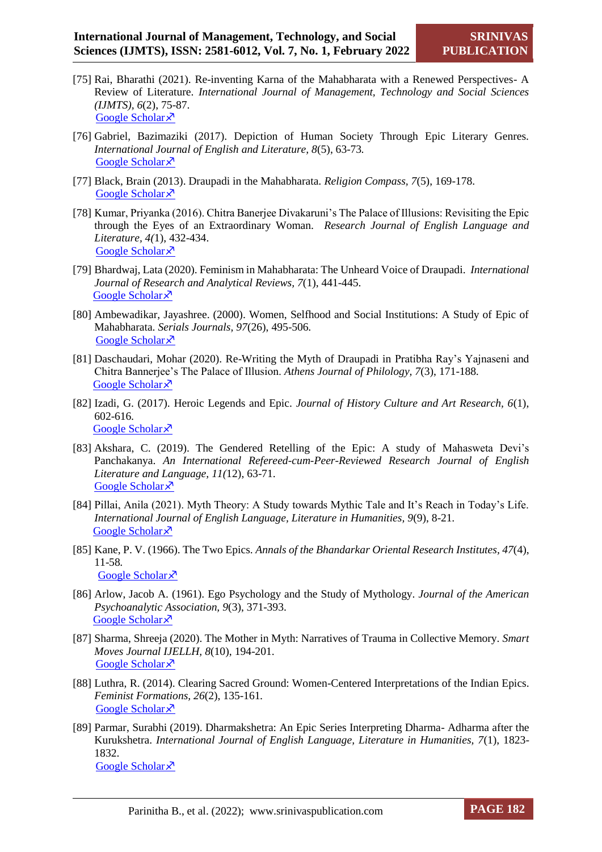- [75] Rai, Bharathi (2021). Re-inventing Karna of the Mahabharata with a Renewed Perspectives- A Review of Literature. *International Journal of Management, Technology and Social Sciences (IJMTS), 6*(2), 75-87. [Google Scholar](https://scholar.google.com/scholar?hl=en&as_sdt=0%2C5&q=Rai%2C+Bharathi.+%282021%29.+%E2%80%9CRe-inventing+Karna+of+the+Mahabharata+with+a+Renewed+Perspectives-+A+Review+of+Literature%E2%80%9D.+International+Journal+of+Management%2C+Technology+and+Social+S) ×
- [76] Gabriel, Bazimaziki (2017). Depiction of Human Society Through Epic Literary Genres. *International Journal of English and Literature, 8*(5), 63-73*.* [Google Scholar](https://scholar.google.com/scholar?hl=en&as_sdt=0%2C5&q=Gabriel%2C+Bazimaziki.+%282017%29.+%E2%80%9CDepiction+of+Human+Society+Through+Epic+Literary+Genres%E2%80%9D.+International+Journal+of+English+And+Literature%2C+8%285%29%2C+63-73.+&btnG=) ×
- [77] Black, Brain (2013). Draupadi in the Mahabharata. *Religion Compass, 7*(5), 169-178. [Google Scholar](https://scholar.google.com/scholar?hl=en&as_sdt=0%2C5&q=Black%2C+Brain.+%282013%29.+%E2%80%9CDraupadi+in+the+Mahabharata%E2%80%9D.+Religion+Compass%2C+7%285%29%2C+169-178.+&btnG=) ×
- [78] Kumar, Priyanka (2016). Chitra Banerjee Divakaruni's The Palace of Illusions: Revisiting the Epic through the Eyes of an Extraordinary Woman. *Research Journal of English Language and Literature, 4(*1), 432-434. [Google Scholar](https://scholar.google.com/scholar?hl=en&as_sdt=0%2C5&q=CHITRA+BANERJEE+DIVAKARUNI%E2%80%99S+THE+PALACE+OF+ILLUSIONS%3A+REVISITING+THE+EPIC++THROUGH+THE+EYES+OF+AN+EXTRAORDINARY+WOMAN&btnG=) ×
- [79] Bhardwaj, Lata (2020). Feminism in Mahabharata: The Unheard Voice of Draupadi. *International Journal of Research and Analytical Reviews, 7*(1), 441-445. [Google Scholar](https://scholar.google.com/scholar?hl=en&as_sdt=0%2C5&q=%E2%80%9CFEMINISM+IN+MAHABHARATA%3A+THE++UNHEARD+VOICE+OF+DRAUPADI%E2%80%9D&btnG=) ×
- [80] Ambewadikar, Jayashree. (2000). Women, Selfhood and Social Institutions: A Study of Epic of Mahabharata. *Serials Journals, 97*(26), 495-506*.* [Google Scholar](https://scholar.google.com/scholar?hl=en&as_sdt=0%2C5&q=Ambewadikar%2C+Jayashree++Women%2C+Selfhood+and+Social+Institutions%3A+A+Study+of+Epic+of+Mahabharata+&btnG=) ×
- [81] Daschaudari, Mohar (2020). Re-Writing the Myth of Draupadi in Pratibha Ray's Yajnaseni and Chitra Bannerjee's The Palace of Illusion. *Athens Journal of Philology, 7*(3), 171-188*.* [Google Scholar](https://scholar.google.com/scholar?hl=en&as_sdt=0%2C5&q=M+Daschaudhuri++Re-Writing+the+Myth+of+Draupadi+in+Pratibha+Ray%E2%80%99s+Yajnaseni+and+Chitra+Bannerjee%E2%80%99s+The+Palace+of+Illusion+&btnG=) ×
- [82] Izadi, G. (2017). Heroic Legends and Epic. *Journal of History Culture and Art Research, 6*(1), 602-616*.* [Google Scholar](https://scholar.google.com/scholar?hl=en&as_sdt=0%2C5&q=Izadi%2C+G.+%282017%29.+%E2%80%9CHeroic+Legends+and+Epic%E2%80%9D.+Journal+of+History+Culture+and+Art+Research%2C+6%281%29.+602-616.+&btnG=)<sup> $\lambda$ </sup>
- [83] Akshara, C. (2019). The Gendered Retelling of the Epic: A study of Mahasweta Devi's Panchakanya. *An International Refereed-cum-Peer-Reviewed Research Journal of English Literature and Language, 11(*12), 63-71. [Google Scholar](https://scholar.google.com/scholar?hl=en&as_sdt=0%2C5&q=The+Gendered+Retelling+of+the+Epic%3A+A+study+of+Mahasweta+Devi%E2%80%99s+Panchakanya&btnG=) ×
- [84] Pillai, Anila (2021). Myth Theory: A Study towards Mythic Tale and It's Reach in Today's Life. *International Journal of English Language, Literature in Humanities, 9*(9), 8-21*.* [Google Scholar](https://scholar.google.com/scholar?hl=en&as_sdt=0%2C5&q=Pillai%2C+Anila.+Myth+Theory%3A+A+Study+towards+Mythic+Tale+and+It%E2%80%99s+Reach+in+Today%E2%80%99s+Life++&btnG=) ×
- [85] Kane, P. V. (1966). The Two Epics. *Annals of the Bhandarkar Oriental Research Institutes, 47*(4), 11-58*.* [Google Scholar](https://scholar.google.com/scholar?hl=en&as_sdt=0%2C5&q=Kane%2C+P.V.+%281966%29.+%E2%80%9CThe+Two+Epics%E2%80%9D.+Annals+of+the+Bhandarkar+Oriental+Research+Institutes%2C+47%284%29%2C+11-58.+&btnG=) ×<sup>7</sup>
- [86] Arlow, Jacob A. (1961). Ego Psychology and the Study of Mythology. *Journal of the American Psychoanalytic Association, 9*(3), 371-393. [Google Scholar](https://scholar.google.com/scholar?hl=en&as_sdt=0%2C5&q=Arlow%2C+Jacob+A.+%281961%29.+%E2%80%9CEgo+Psychology+and+the+Study+of+Mythology%E2%80%9D.+Journal+of+the+American+Psychoanalytic+Association%2C+9%283%29%2C+371-393.+&btnG=) ×
- [87] Sharma, Shreeja (2020). The Mother in Myth: Narratives of Trauma in Collective Memory. *Smart Moves Journal IJELLH, 8*(10), 194-201. [Google Scholar](https://scholar.google.com/scholar?hl=en&as_sdt=0%2C5&q=Sharma%2C+Shreeja++The+Mother+in+Myth%3A+Narratives+of+Trauma+in+Collective+Memory++&btnG=) ×
- [88] Luthra, R. (2014). Clearing Sacred Ground: Women-Centered Interpretations of the Indian Epics. *Feminist Formations, 26*(2), 135-161*.* [Google Scholar](https://scholar.google.com/scholar?hl=en&as_sdt=0%2C5&q=Clearing+Sacred+Ground%3A+Women-Centered+Interpretations+of+the+Indian+Epics&btnG=) ×
- [89] Parmar, Surabhi (2019). Dharmakshetra: An Epic Series Interpreting Dharma- Adharma after the Kurukshetra. *International Journal of English Language, Literature in Humanities, 7*(1), 1823- 1832. [Google Scholar](https://scholar.google.com/scholar?hl=en&as_sdt=0%2C5&q=Parmar%2C+Surabhi++Dharmakshetra%3A+An+Epic+Series+Interpreting+Dharma-+Adharma+after+the+Kurukshetra++&btnG=) ×